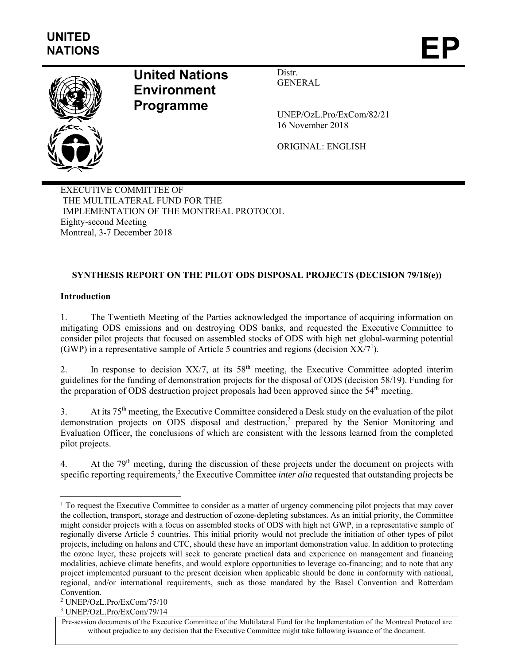

# **United Nations Environment Programme**

Distr. GENERAL

UNEP/OzL.Pro/ExCom/82/21 16 November 2018

ORIGINAL: ENGLISH

EXECUTIVE COMMITTEE OF THE MULTILATERAL FUND FOR THE IMPLEMENTATION OF THE MONTREAL PROTOCOL Eighty-second Meeting Montreal, 3-7 December 2018

# **SYNTHESIS REPORT ON THE PILOT ODS DISPOSAL PROJECTS (DECISION 79/18(e))**

# **Introduction**

1

1. The Twentieth Meeting of the Parties acknowledged the importance of acquiring information on mitigating ODS emissions and on destroying ODS banks, and requested the Executive Committee to consider pilot projects that focused on assembled stocks of ODS with high net global-warming potential (GWP) in a representative sample of Article 5 countries and regions (decision  $XX/7^1$ ).

2. In response to decision  $XX/7$ , at its  $58<sup>th</sup>$  meeting, the Executive Committee adopted interim guidelines for the funding of demonstration projects for the disposal of ODS (decision 58/19). Funding for the preparation of ODS destruction project proposals had been approved since the  $54<sup>th</sup>$  meeting.

3. At its 75th meeting, the Executive Committee considered a Desk study on the evaluation of the pilot demonstration projects on ODS disposal and destruction,<sup>2</sup> prepared by the Senior Monitoring and Evaluation Officer, the conclusions of which are consistent with the lessons learned from the completed pilot projects.

4. At the  $79<sup>th</sup>$  meeting, during the discussion of these projects under the document on projects with specific reporting requirements,<sup>3</sup> the Executive Committee *inter alia* requested that outstanding projects be

<sup>&</sup>lt;sup>1</sup> To request the Executive Committee to consider as a matter of urgency commencing pilot projects that may cover the collection, transport, storage and destruction of ozone-depleting substances. As an initial priority, the Committee might consider projects with a focus on assembled stocks of ODS with high net GWP, in a representative sample of regionally diverse Article 5 countries. This initial priority would not preclude the initiation of other types of pilot projects, including on halons and CTC, should these have an important demonstration value. In addition to protecting the ozone layer, these projects will seek to generate practical data and experience on management and financing modalities, achieve climate benefits, and would explore opportunities to leverage co-financing; and to note that any project implemented pursuant to the present decision when applicable should be done in conformity with national, regional, and/or international requirements, such as those mandated by the Basel Convention and Rotterdam Convention.

<sup>2</sup> UNEP/OzL.Pro/ExCom/75/10

<sup>3</sup> UNEP/OzL.Pro/ExCom/79/14

Pre-session documents of the Executive Committee of the Multilateral Fund for the Implementation of the Montreal Protocol are without prejudice to any decision that the Executive Committee might take following issuance of the document.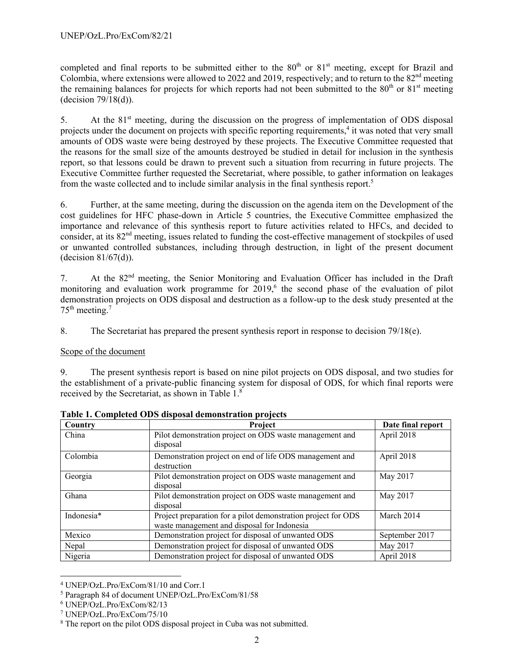completed and final reports to be submitted either to the  $80<sup>th</sup>$  or  $81<sup>st</sup>$  meeting, except for Brazil and Colombia, where extensions were allowed to 2022 and 2019, respectively; and to return to the  $82<sup>nd</sup>$  meeting the remaining balances for projects for which reports had not been submitted to the  $80<sup>th</sup>$  or  $81<sup>st</sup>$  meeting (decision 79/18(d)).

5. At the 81<sup>st</sup> meeting, during the discussion on the progress of implementation of ODS disposal projects under the document on projects with specific reporting requirements,<sup>4</sup> it was noted that very small amounts of ODS waste were being destroyed by these projects. The Executive Committee requested that the reasons for the small size of the amounts destroyed be studied in detail for inclusion in the synthesis report, so that lessons could be drawn to prevent such a situation from recurring in future projects. The Executive Committee further requested the Secretariat, where possible, to gather information on leakages from the waste collected and to include similar analysis in the final synthesis report.<sup>5</sup>

6. Further, at the same meeting, during the discussion on the agenda item on the Development of the cost guidelines for HFC phase-down in Article 5 countries, the Executive Committee emphasized the importance and relevance of this synthesis report to future activities related to HFCs, and decided to consider, at its 82nd meeting, issues related to funding the cost-effective management of stockpiles of used or unwanted controlled substances, including through destruction, in light of the present document (decision 81/67(d)).

7. At the 82nd meeting, the Senior Monitoring and Evaluation Officer has included in the Draft monitoring and evaluation work programme for  $2019<sup>6</sup>$ , the second phase of the evaluation of pilot demonstration projects on ODS disposal and destruction as a follow-up to the desk study presented at the  $75<sup>th</sup>$  meeting.<sup>7</sup>

8. The Secretariat has prepared the present synthesis report in response to decision 79/18(e).

# Scope of the document

9. The present synthesis report is based on nine pilot projects on ODS disposal, and two studies for the establishment of a private-public financing system for disposal of ODS, for which final reports were received by the Secretariat, as shown in Table  $1<sup>8</sup>$ 

| Country    | Project                                                       | Date final report |
|------------|---------------------------------------------------------------|-------------------|
| China      | Pilot demonstration project on ODS waste management and       | April 2018        |
|            | disposal                                                      |                   |
| Colombia   | Demonstration project on end of life ODS management and       | April 2018        |
|            | destruction                                                   |                   |
| Georgia    | Pilot demonstration project on ODS waste management and       | May 2017          |
|            | disposal                                                      |                   |
| Ghana      | Pilot demonstration project on ODS waste management and       | May 2017          |
|            | disposal                                                      |                   |
| Indonesia* | Project preparation for a pilot demonstration project for ODS | March 2014        |
|            | waste management and disposal for Indonesia                   |                   |
| Mexico     | Demonstration project for disposal of unwanted ODS            | September 2017    |
| Nepal      | Demonstration project for disposal of unwanted ODS            | May 2017          |
| Nigeria    | Demonstration project for disposal of unwanted ODS            | April 2018        |

**Table 1. Completed ODS disposal demonstration projects** 

l

<sup>4</sup> UNEP/OzL.Pro/ExCom/81/10 and Corr.1

<sup>5</sup> Paragraph 84 of document UNEP/OzL.Pro/ExCom/81/58

<sup>6</sup> UNEP/OzL.Pro/ExCom/82/13

<sup>7</sup> UNEP/OzL.Pro/ExCom/75/10

<sup>&</sup>lt;sup>8</sup> The report on the pilot ODS disposal project in Cuba was not submitted.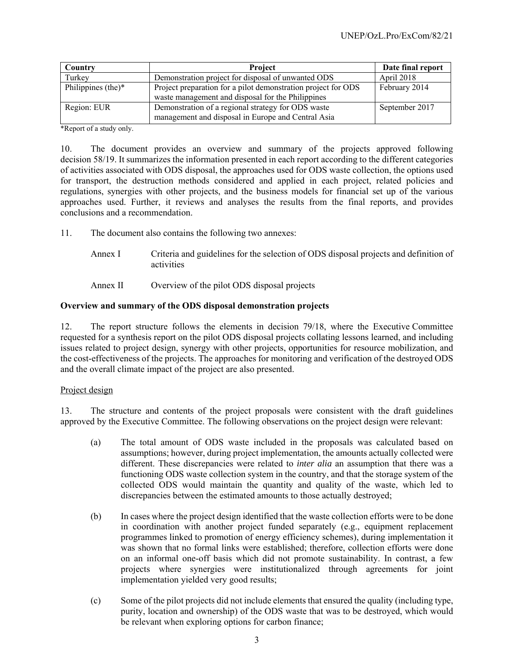| Country            | <b>Project</b>                                                                                                     | Date final report |
|--------------------|--------------------------------------------------------------------------------------------------------------------|-------------------|
| Turkey             | Demonstration project for disposal of unwanted ODS                                                                 | April 2018        |
| Philippines (the)* | Project preparation for a pilot demonstration project for ODS<br>waste management and disposal for the Philippines | February 2014     |
| Region: EUR        | Demonstration of a regional strategy for ODS waste<br>management and disposal in Europe and Central Asia           | September 2017    |

\*Report of a study only.

10. The document provides an overview and summary of the projects approved following decision 58/19. It summarizes the information presented in each report according to the different categories of activities associated with ODS disposal, the approaches used for ODS waste collection, the options used for transport, the destruction methods considered and applied in each project, related policies and regulations, synergies with other projects, and the business models for financial set up of the various approaches used. Further, it reviews and analyses the results from the final reports, and provides conclusions and a recommendation.

11. The document also contains the following two annexes:

- Annex I Criteria and guidelines for the selection of ODS disposal projects and definition of activities
- Annex II Overview of the pilot ODS disposal projects

#### **Overview and summary of the ODS disposal demonstration projects**

12. The report structure follows the elements in decision 79/18, where the Executive Committee requested for a synthesis report on the pilot ODS disposal projects collating lessons learned, and including issues related to project design, synergy with other projects, opportunities for resource mobilization, and the cost-effectiveness of the projects. The approaches for monitoring and verification of the destroyed ODS and the overall climate impact of the project are also presented.

#### Project design

13. The structure and contents of the project proposals were consistent with the draft guidelines approved by the Executive Committee. The following observations on the project design were relevant:

- (a) The total amount of ODS waste included in the proposals was calculated based on assumptions; however, during project implementation, the amounts actually collected were different. These discrepancies were related to *inter alia* an assumption that there was a functioning ODS waste collection system in the country, and that the storage system of the collected ODS would maintain the quantity and quality of the waste, which led to discrepancies between the estimated amounts to those actually destroyed;
- (b) In cases where the project design identified that the waste collection efforts were to be done in coordination with another project funded separately (e.g., equipment replacement programmes linked to promotion of energy efficiency schemes), during implementation it was shown that no formal links were established; therefore, collection efforts were done on an informal one-off basis which did not promote sustainability. In contrast, a few projects where synergies were institutionalized through agreements for joint implementation yielded very good results;
- (c) Some of the pilot projects did not include elements that ensured the quality (including type, purity, location and ownership) of the ODS waste that was to be destroyed, which would be relevant when exploring options for carbon finance;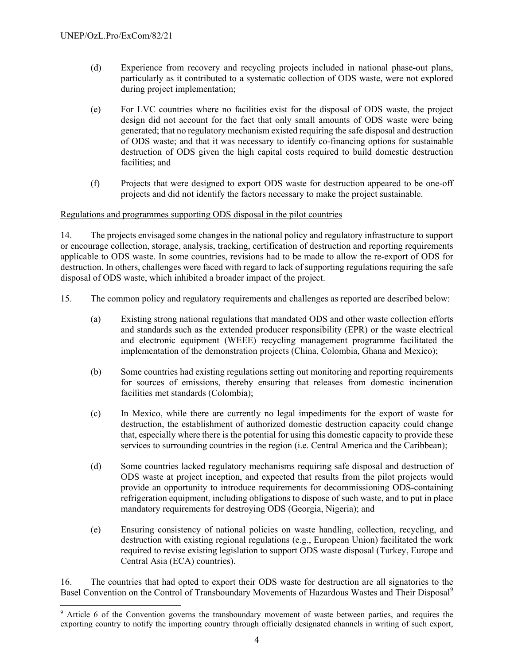l

- (d) Experience from recovery and recycling projects included in national phase-out plans, particularly as it contributed to a systematic collection of ODS waste, were not explored during project implementation;
- (e) For LVC countries where no facilities exist for the disposal of ODS waste, the project design did not account for the fact that only small amounts of ODS waste were being generated; that no regulatory mechanism existed requiring the safe disposal and destruction of ODS waste; and that it was necessary to identify co-financing options for sustainable destruction of ODS given the high capital costs required to build domestic destruction facilities; and
- (f) Projects that were designed to export ODS waste for destruction appeared to be one-off projects and did not identify the factors necessary to make the project sustainable.

# Regulations and programmes supporting ODS disposal in the pilot countries

14. The projects envisaged some changes in the national policy and regulatory infrastructure to support or encourage collection, storage, analysis, tracking, certification of destruction and reporting requirements applicable to ODS waste. In some countries, revisions had to be made to allow the re-export of ODS for destruction. In others, challenges were faced with regard to lack of supporting regulations requiring the safe disposal of ODS waste, which inhibited a broader impact of the project.

- 15. The common policy and regulatory requirements and challenges as reported are described below:
	- (a) Existing strong national regulations that mandated ODS and other waste collection efforts and standards such as the extended producer responsibility (EPR) or the waste electrical and electronic equipment (WEEE) recycling management programme facilitated the implementation of the demonstration projects (China, Colombia, Ghana and Mexico);
	- (b) Some countries had existing regulations setting out monitoring and reporting requirements for sources of emissions, thereby ensuring that releases from domestic incineration facilities met standards (Colombia);
	- (c) In Mexico, while there are currently no legal impediments for the export of waste for destruction, the establishment of authorized domestic destruction capacity could change that, especially where there is the potential for using this domestic capacity to provide these services to surrounding countries in the region (i.e. Central America and the Caribbean);
	- (d) Some countries lacked regulatory mechanisms requiring safe disposal and destruction of ODS waste at project inception, and expected that results from the pilot projects would provide an opportunity to introduce requirements for decommissioning ODS-containing refrigeration equipment, including obligations to dispose of such waste, and to put in place mandatory requirements for destroying ODS (Georgia, Nigeria); and
	- (e) Ensuring consistency of national policies on waste handling, collection, recycling, and destruction with existing regional regulations (e.g., European Union) facilitated the work required to revise existing legislation to support ODS waste disposal (Turkey, Europe and Central Asia (ECA) countries).

16. The countries that had opted to export their ODS waste for destruction are all signatories to the Basel Convention on the Control of Transboundary Movements of Hazardous Wastes and Their Disposal<sup>9</sup>

<sup>&</sup>lt;sup>9</sup> Article 6 of the Convention governs the transboundary movement of waste between parties, and requires the exporting country to notify the importing country through officially designated channels in writing of such export,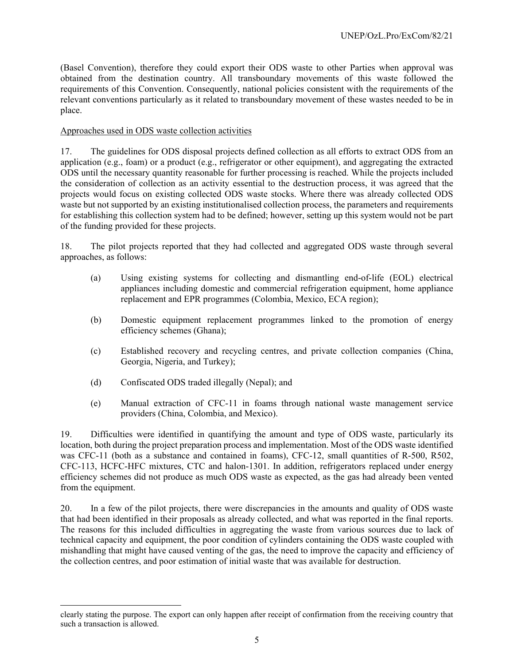(Basel Convention), therefore they could export their ODS waste to other Parties when approval was obtained from the destination country. All transboundary movements of this waste followed the requirements of this Convention. Consequently, national policies consistent with the requirements of the relevant conventions particularly as it related to transboundary movement of these wastes needed to be in place.

# Approaches used in ODS waste collection activities

17. The guidelines for ODS disposal projects defined collection as all efforts to extract ODS from an application (e.g., foam) or a product (e.g., refrigerator or other equipment), and aggregating the extracted ODS until the necessary quantity reasonable for further processing is reached. While the projects included the consideration of collection as an activity essential to the destruction process, it was agreed that the projects would focus on existing collected ODS waste stocks. Where there was already collected ODS waste but not supported by an existing institutionalised collection process, the parameters and requirements for establishing this collection system had to be defined; however, setting up this system would not be part of the funding provided for these projects.

18. The pilot projects reported that they had collected and aggregated ODS waste through several approaches, as follows:

- (a) Using existing systems for collecting and dismantling end-of-life (EOL) electrical appliances including domestic and commercial refrigeration equipment, home appliance replacement and EPR programmes (Colombia, Mexico, ECA region);
- (b) Domestic equipment replacement programmes linked to the promotion of energy efficiency schemes (Ghana);
- (c) Established recovery and recycling centres, and private collection companies (China, Georgia, Nigeria, and Turkey);
- (d) Confiscated ODS traded illegally (Nepal); and

l

(e) Manual extraction of CFC-11 in foams through national waste management service providers (China, Colombia, and Mexico).

19. Difficulties were identified in quantifying the amount and type of ODS waste, particularly its location, both during the project preparation process and implementation. Most of the ODS waste identified was CFC-11 (both as a substance and contained in foams), CFC-12, small quantities of R-500, R502, CFC-113, HCFC-HFC mixtures, CTC and halon-1301. In addition, refrigerators replaced under energy efficiency schemes did not produce as much ODS waste as expected, as the gas had already been vented from the equipment.

20. In a few of the pilot projects, there were discrepancies in the amounts and quality of ODS waste that had been identified in their proposals as already collected, and what was reported in the final reports. The reasons for this included difficulties in aggregating the waste from various sources due to lack of technical capacity and equipment, the poor condition of cylinders containing the ODS waste coupled with mishandling that might have caused venting of the gas, the need to improve the capacity and efficiency of the collection centres, and poor estimation of initial waste that was available for destruction.

clearly stating the purpose. The export can only happen after receipt of confirmation from the receiving country that such a transaction is allowed.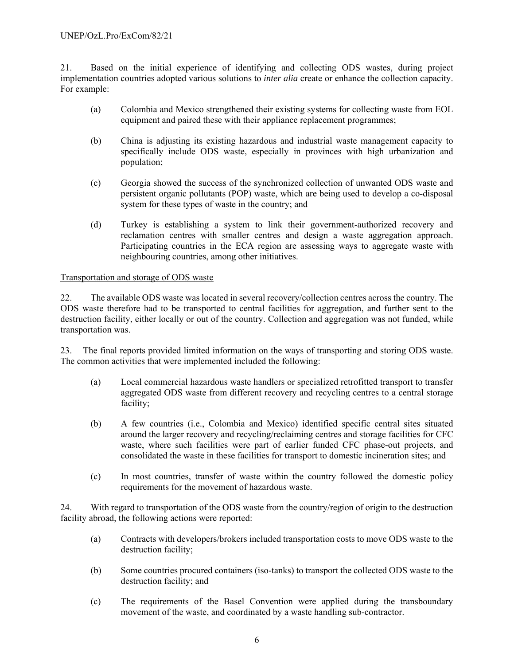21. Based on the initial experience of identifying and collecting ODS wastes, during project implementation countries adopted various solutions to *inter alia* create or enhance the collection capacity. For example:

- (a) Colombia and Mexico strengthened their existing systems for collecting waste from EOL equipment and paired these with their appliance replacement programmes;
- (b) China is adjusting its existing hazardous and industrial waste management capacity to specifically include ODS waste, especially in provinces with high urbanization and population;
- (c) Georgia showed the success of the synchronized collection of unwanted ODS waste and persistent organic pollutants (POP) waste, which are being used to develop a co-disposal system for these types of waste in the country; and
- (d) Turkey is establishing a system to link their government-authorized recovery and reclamation centres with smaller centres and design a waste aggregation approach. Participating countries in the ECA region are assessing ways to aggregate waste with neighbouring countries, among other initiatives.

# Transportation and storage of ODS waste

22. The available ODS waste was located in several recovery/collection centres across the country. The ODS waste therefore had to be transported to central facilities for aggregation, and further sent to the destruction facility, either locally or out of the country. Collection and aggregation was not funded, while transportation was.

23. The final reports provided limited information on the ways of transporting and storing ODS waste. The common activities that were implemented included the following:

- (a) Local commercial hazardous waste handlers or specialized retrofitted transport to transfer aggregated ODS waste from different recovery and recycling centres to a central storage facility;
- (b) A few countries (i.e., Colombia and Mexico) identified specific central sites situated around the larger recovery and recycling/reclaiming centres and storage facilities for CFC waste, where such facilities were part of earlier funded CFC phase-out projects, and consolidated the waste in these facilities for transport to domestic incineration sites; and
- (c) In most countries, transfer of waste within the country followed the domestic policy requirements for the movement of hazardous waste.

24. With regard to transportation of the ODS waste from the country/region of origin to the destruction facility abroad, the following actions were reported:

- (a) Contracts with developers/brokers included transportation costs to move ODS waste to the destruction facility;
- (b) Some countries procured containers (iso-tanks) to transport the collected ODS waste to the destruction facility; and
- (c) The requirements of the Basel Convention were applied during the transboundary movement of the waste, and coordinated by a waste handling sub-contractor.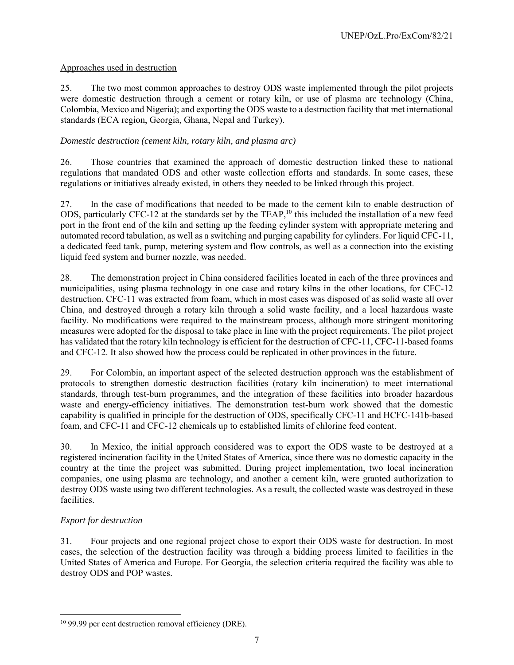# Approaches used in destruction

25. The two most common approaches to destroy ODS waste implemented through the pilot projects were domestic destruction through a cement or rotary kiln, or use of plasma arc technology (China, Colombia, Mexico and Nigeria); and exporting the ODS waste to a destruction facility that met international standards (ECA region, Georgia, Ghana, Nepal and Turkey).

# *Domestic destruction (cement kiln, rotary kiln, and plasma arc)*

26. Those countries that examined the approach of domestic destruction linked these to national regulations that mandated ODS and other waste collection efforts and standards. In some cases, these regulations or initiatives already existed, in others they needed to be linked through this project.

27. In the case of modifications that needed to be made to the cement kiln to enable destruction of ODS, particularly CFC-12 at the standards set by the TEAP,<sup>10</sup> this included the installation of a new feed port in the front end of the kiln and setting up the feeding cylinder system with appropriate metering and automated record tabulation, as well as a switching and purging capability for cylinders. For liquid CFC-11, a dedicated feed tank, pump, metering system and flow controls, as well as a connection into the existing liquid feed system and burner nozzle, was needed.

28. The demonstration project in China considered facilities located in each of the three provinces and municipalities, using plasma technology in one case and rotary kilns in the other locations, for CFC-12 destruction. CFC-11 was extracted from foam, which in most cases was disposed of as solid waste all over China, and destroyed through a rotary kiln through a solid waste facility, and a local hazardous waste facility. No modifications were required to the mainstream process, although more stringent monitoring measures were adopted for the disposal to take place in line with the project requirements. The pilot project has validated that the rotary kiln technology is efficient for the destruction of CFC-11, CFC-11-based foams and CFC-12. It also showed how the process could be replicated in other provinces in the future.

29. For Colombia, an important aspect of the selected destruction approach was the establishment of protocols to strengthen domestic destruction facilities (rotary kiln incineration) to meet international standards, through test-burn programmes, and the integration of these facilities into broader hazardous waste and energy-efficiency initiatives. The demonstration test-burn work showed that the domestic capability is qualified in principle for the destruction of ODS, specifically CFC-11 and HCFC-141b-based foam, and CFC-11 and CFC-12 chemicals up to established limits of chlorine feed content.

30. In Mexico, the initial approach considered was to export the ODS waste to be destroyed at a registered incineration facility in the United States of America, since there was no domestic capacity in the country at the time the project was submitted. During project implementation, two local incineration companies, one using plasma arc technology, and another a cement kiln, were granted authorization to destroy ODS waste using two different technologies. As a result, the collected waste was destroyed in these facilities.

# *Export for destruction*

-

31. Four projects and one regional project chose to export their ODS waste for destruction. In most cases, the selection of the destruction facility was through a bidding process limited to facilities in the United States of America and Europe. For Georgia, the selection criteria required the facility was able to destroy ODS and POP wastes.

<sup>&</sup>lt;sup>10</sup> 99.99 per cent destruction removal efficiency (DRE).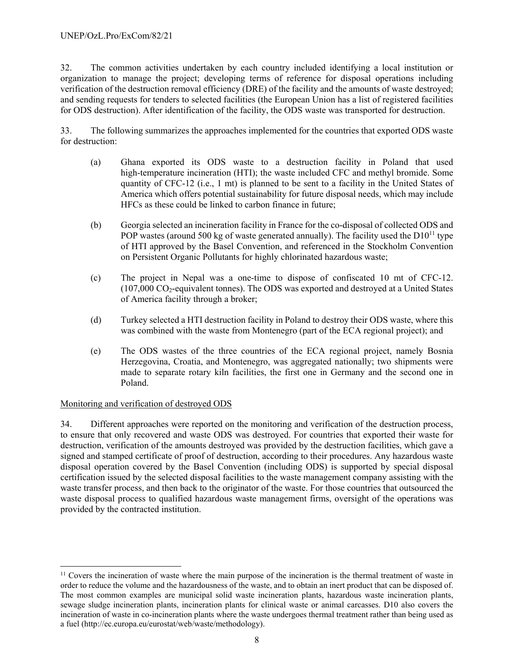32. The common activities undertaken by each country included identifying a local institution or organization to manage the project; developing terms of reference for disposal operations including verification of the destruction removal efficiency (DRE) of the facility and the amounts of waste destroyed; and sending requests for tenders to selected facilities (the European Union has a list of registered facilities for ODS destruction). After identification of the facility, the ODS waste was transported for destruction.

33. The following summarizes the approaches implemented for the countries that exported ODS waste for destruction:

- (a) Ghana exported its ODS waste to a destruction facility in Poland that used high-temperature incineration (HTI); the waste included CFC and methyl bromide. Some quantity of CFC-12 (i.e., 1 mt) is planned to be sent to a facility in the United States of America which offers potential sustainability for future disposal needs, which may include HFCs as these could be linked to carbon finance in future;
- (b) Georgia selected an incineration facility in France for the co-disposal of collected ODS and POP wastes (around 500 kg of waste generated annually). The facility used the  $D10^{11}$  type of HTI approved by the Basel Convention, and referenced in the Stockholm Convention on Persistent Organic Pollutants for highly chlorinated hazardous waste;
- (c) The project in Nepal was a one-time to dispose of confiscated 10 mt of CFC-12. (107,000 CO2-equivalent tonnes). The ODS was exported and destroyed at a United States of America facility through a broker;
- (d) Turkey selected a HTI destruction facility in Poland to destroy their ODS waste, where this was combined with the waste from Montenegro (part of the ECA regional project); and
- (e) The ODS wastes of the three countries of the ECA regional project, namely Bosnia Herzegovina, Croatia, and Montenegro, was aggregated nationally; two shipments were made to separate rotary kiln facilities, the first one in Germany and the second one in Poland.

# Monitoring and verification of destroyed ODS

l

34. Different approaches were reported on the monitoring and verification of the destruction process, to ensure that only recovered and waste ODS was destroyed. For countries that exported their waste for destruction, verification of the amounts destroyed was provided by the destruction facilities, which gave a signed and stamped certificate of proof of destruction, according to their procedures. Any hazardous waste disposal operation covered by the Basel Convention (including ODS) is supported by special disposal certification issued by the selected disposal facilities to the waste management company assisting with the waste transfer process, and then back to the originator of the waste. For those countries that outsourced the waste disposal process to qualified hazardous waste management firms, oversight of the operations was provided by the contracted institution.

 $11$  Covers the incineration of waste where the main purpose of the incineration is the thermal treatment of waste in order to reduce the volume and the hazardousness of the waste, and to obtain an inert product that can be disposed of. The most common examples are municipal solid waste incineration plants, hazardous waste incineration plants, sewage sludge incineration plants, incineration plants for clinical waste or animal carcasses. D10 also covers the incineration of waste in co-incineration plants where the waste undergoes thermal treatment rather than being used as a fuel (http://ec.europa.eu/eurostat/web/waste/methodology).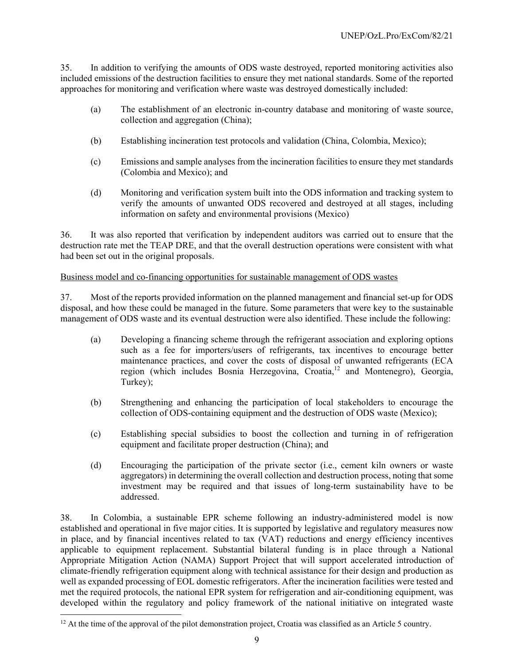35. In addition to verifying the amounts of ODS waste destroyed, reported monitoring activities also included emissions of the destruction facilities to ensure they met national standards. Some of the reported approaches for monitoring and verification where waste was destroyed domestically included:

- (a) The establishment of an electronic in-country database and monitoring of waste source, collection and aggregation (China);
- (b) Establishing incineration test protocols and validation (China, Colombia, Mexico);
- (c) Emissions and sample analyses from the incineration facilities to ensure they met standards (Colombia and Mexico); and
- (d) Monitoring and verification system built into the ODS information and tracking system to verify the amounts of unwanted ODS recovered and destroyed at all stages, including information on safety and environmental provisions (Mexico)

36. It was also reported that verification by independent auditors was carried out to ensure that the destruction rate met the TEAP DRE, and that the overall destruction operations were consistent with what had been set out in the original proposals.

# Business model and co-financing opportunities for sustainable management of ODS wastes

37. Most of the reports provided information on the planned management and financial set-up for ODS disposal, and how these could be managed in the future. Some parameters that were key to the sustainable management of ODS waste and its eventual destruction were also identified. These include the following:

- (a) Developing a financing scheme through the refrigerant association and exploring options such as a fee for importers/users of refrigerants, tax incentives to encourage better maintenance practices, and cover the costs of disposal of unwanted refrigerants (ECA region (which includes Bosnia Herzegovina, Croatia,12 and Montenegro), Georgia, Turkey);
- (b) Strengthening and enhancing the participation of local stakeholders to encourage the collection of ODS-containing equipment and the destruction of ODS waste (Mexico);
- (c) Establishing special subsidies to boost the collection and turning in of refrigeration equipment and facilitate proper destruction (China); and
- (d) Encouraging the participation of the private sector (i.e., cement kiln owners or waste aggregators) in determining the overall collection and destruction process, noting that some investment may be required and that issues of long-term sustainability have to be addressed.

38. In Colombia, a sustainable EPR scheme following an industry-administered model is now established and operational in five major cities. It is supported by legislative and regulatory measures now in place, and by financial incentives related to tax (VAT) reductions and energy efficiency incentives applicable to equipment replacement. Substantial bilateral funding is in place through a National Appropriate Mitigation Action (NAMA) Support Project that will support accelerated introduction of climate-friendly refrigeration equipment along with technical assistance for their design and production as well as expanded processing of EOL domestic refrigerators. After the incineration facilities were tested and met the required protocols, the national EPR system for refrigeration and air-conditioning equipment, was developed within the regulatory and policy framework of the national initiative on integrated waste

 $\overline{a}$ 

 $12$  At the time of the approval of the pilot demonstration project, Croatia was classified as an Article 5 country.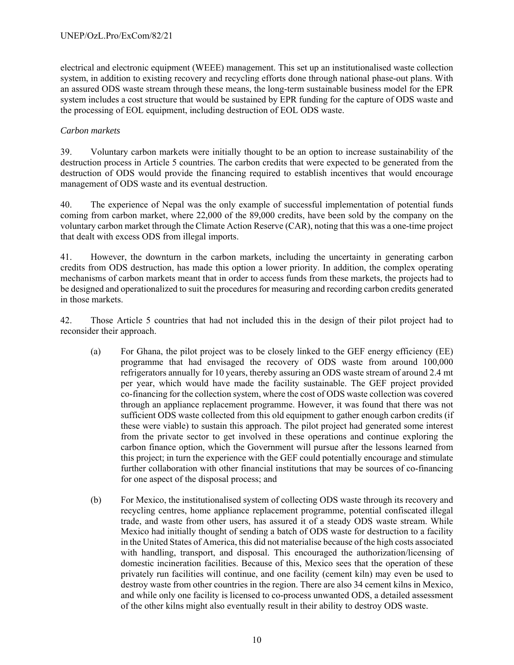electrical and electronic equipment (WEEE) management. This set up an institutionalised waste collection system, in addition to existing recovery and recycling efforts done through national phase-out plans. With an assured ODS waste stream through these means, the long-term sustainable business model for the EPR system includes a cost structure that would be sustained by EPR funding for the capture of ODS waste and the processing of EOL equipment, including destruction of EOL ODS waste.

# *Carbon markets*

39. Voluntary carbon markets were initially thought to be an option to increase sustainability of the destruction process in Article 5 countries. The carbon credits that were expected to be generated from the destruction of ODS would provide the financing required to establish incentives that would encourage management of ODS waste and its eventual destruction.

40. The experience of Nepal was the only example of successful implementation of potential funds coming from carbon market, where 22,000 of the 89,000 credits, have been sold by the company on the voluntary carbon market through the Climate Action Reserve (CAR), noting that this was a one-time project that dealt with excess ODS from illegal imports.

41. However, the downturn in the carbon markets, including the uncertainty in generating carbon credits from ODS destruction, has made this option a lower priority. In addition, the complex operating mechanisms of carbon markets meant that in order to access funds from these markets, the projects had to be designed and operationalized to suit the procedures for measuring and recording carbon credits generated in those markets.

42. Those Article 5 countries that had not included this in the design of their pilot project had to reconsider their approach.

- (a) For Ghana, the pilot project was to be closely linked to the GEF energy efficiency (EE) programme that had envisaged the recovery of ODS waste from around 100,000 refrigerators annually for 10 years, thereby assuring an ODS waste stream of around 2.4 mt per year, which would have made the facility sustainable. The GEF project provided co-financing for the collection system, where the cost of ODS waste collection was covered through an appliance replacement programme. However, it was found that there was not sufficient ODS waste collected from this old equipment to gather enough carbon credits (if these were viable) to sustain this approach. The pilot project had generated some interest from the private sector to get involved in these operations and continue exploring the carbon finance option, which the Government will pursue after the lessons learned from this project; in turn the experience with the GEF could potentially encourage and stimulate further collaboration with other financial institutions that may be sources of co-financing for one aspect of the disposal process; and
- (b) For Mexico, the institutionalised system of collecting ODS waste through its recovery and recycling centres, home appliance replacement programme, potential confiscated illegal trade, and waste from other users, has assured it of a steady ODS waste stream. While Mexico had initially thought of sending a batch of ODS waste for destruction to a facility in the United States of America, this did not materialise because of the high costs associated with handling, transport, and disposal. This encouraged the authorization/licensing of domestic incineration facilities. Because of this, Mexico sees that the operation of these privately run facilities will continue, and one facility (cement kiln) may even be used to destroy waste from other countries in the region. There are also 34 cement kilns in Mexico, and while only one facility is licensed to co-process unwanted ODS, a detailed assessment of the other kilns might also eventually result in their ability to destroy ODS waste.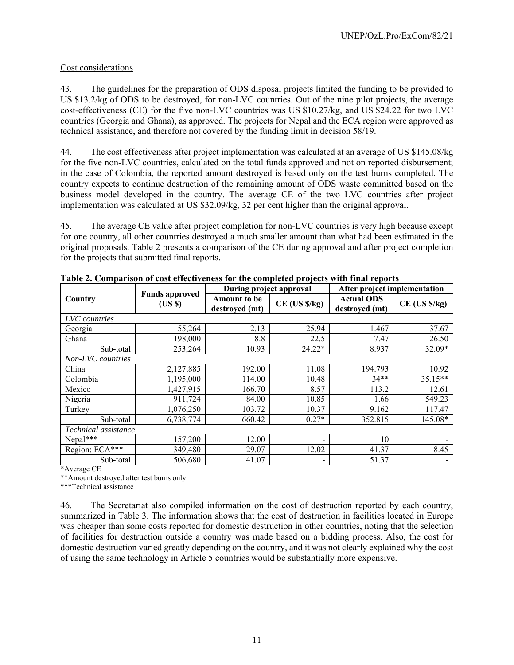# Cost considerations

43. The guidelines for the preparation of ODS disposal projects limited the funding to be provided to US \$13.2/kg of ODS to be destroyed, for non-LVC countries. Out of the nine pilot projects, the average cost-effectiveness (CE) for the five non-LVC countries was US \$10.27/kg, and US \$24.22 for two LVC countries (Georgia and Ghana), as approved. The projects for Nepal and the ECA region were approved as technical assistance, and therefore not covered by the funding limit in decision 58/19.

44. The cost effectiveness after project implementation was calculated at an average of US \$145.08/kg for the five non-LVC countries, calculated on the total funds approved and not on reported disbursement; in the case of Colombia, the reported amount destroyed is based only on the test burns completed. The country expects to continue destruction of the remaining amount of ODS waste committed based on the business model developed in the country. The average CE of the two LVC countries after project implementation was calculated at US \$32.09/kg, 32 per cent higher than the original approval.

45. The average CE value after project completion for non-LVC countries is very high because except for one country, all other countries destroyed a much smaller amount than what had been estimated in the original proposals. Table 2 presents a comparison of the CE during approval and after project completion for the projects that submitted final reports.

|                      |                                | During project approval               |                           | After project implementation        |                           |
|----------------------|--------------------------------|---------------------------------------|---------------------------|-------------------------------------|---------------------------|
| Country              | <b>Funds approved</b><br>(USS) | <b>Amount to be</b><br>destroyed (mt) | $CE$ (US $\frac{s}{kg}$ ) | <b>Actual ODS</b><br>destroyed (mt) | $CE$ (US $\frac{s}{kg}$ ) |
| LVC countries        |                                |                                       |                           |                                     |                           |
| Georgia              | 55,264                         | 2.13                                  | 25.94                     | 1.467                               | 37.67                     |
| Ghana                | 198,000                        | 8.8                                   | 22.5                      | 7.47                                | 26.50                     |
| Sub-total            | 253,264                        | 10.93                                 | 24.22*                    | 8.937                               | 32.09*                    |
| Non-LVC countries    |                                |                                       |                           |                                     |                           |
| China                | 2,127,885                      | 192.00                                | 11.08                     | 194.793                             | 10.92                     |
| Colombia             | 1,195,000                      | 114.00                                | 10.48                     | $34**$                              | 35.15**                   |
| Mexico               | 1,427,915                      | 166.70                                | 8.57                      | 113.2                               | 12.61                     |
| Nigeria              | 911,724                        | 84.00                                 | 10.85                     | 1.66                                | 549.23                    |
| Turkey               | 1,076,250                      | 103.72                                | 10.37                     | 9.162                               | 117.47                    |
| Sub-total            | 6,738,774                      | 660.42                                | $10.27*$                  | 352.815                             | 145.08*                   |
| Technical assistance |                                |                                       |                           |                                     |                           |
| $Nepal***$           | 157,200                        | 12.00                                 | $\overline{\phantom{a}}$  | 10                                  | $\overline{\phantom{a}}$  |
| Region: ECA***       | 349,480                        | 29.07                                 | 12.02                     | 41.37                               | 8.45                      |
| Sub-total            | 506,680                        | 41.07                                 | -                         | 51.37                               | -                         |

**Table 2. Comparison of cost effectiveness for the completed projects with final reports** 

\*Average CE

\*\*Amount destroyed after test burns only

\*\*\*Technical assistance

46. The Secretariat also compiled information on the cost of destruction reported by each country, summarized in Table 3. The information shows that the cost of destruction in facilities located in Europe was cheaper than some costs reported for domestic destruction in other countries, noting that the selection of facilities for destruction outside a country was made based on a bidding process. Also, the cost for domestic destruction varied greatly depending on the country, and it was not clearly explained why the cost of using the same technology in Article 5 countries would be substantially more expensive.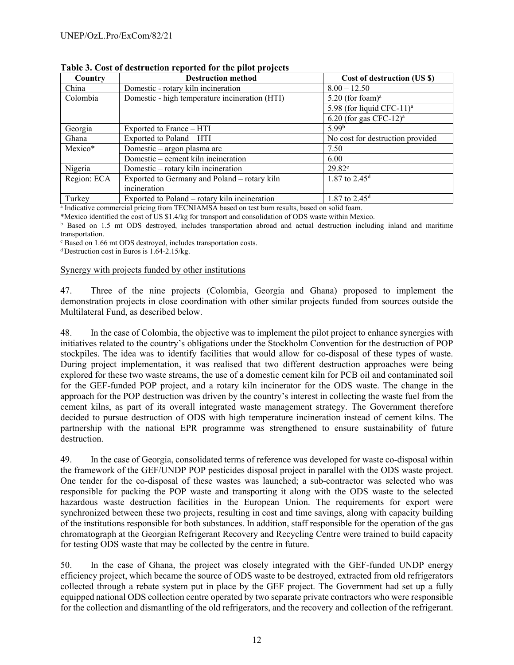| Country     | <b>Destruction method</b>                      | Cost of destruction (US \$)           |
|-------------|------------------------------------------------|---------------------------------------|
| China       | Domestic - rotary kiln incineration            | $8.00 - 12.50$                        |
| Colombia    | Domestic - high temperature incineration (HTI) | $5.20$ (for foam) <sup>a</sup>        |
|             |                                                | 5.98 (for liquid CFC-11) <sup>a</sup> |
|             |                                                | $6.20$ (for gas CFC-12) <sup>a</sup>  |
| Georgia     | Exported to France – HTI                       | 5.99 <sup>b</sup>                     |
| Ghana       | Exported to Poland – HTI                       | No cost for destruction provided      |
| Mexico*     | Domestic – argon plasma arc                    | 7.50                                  |
|             | Domestic – cement kiln incineration            | 6.00                                  |
| Nigeria     | Domestic - rotary kiln incineration            | $29.82^{\circ}$                       |
| Region: ECA | Exported to Germany and Poland - rotary kiln   | 1.87 to 2.45 <sup>d</sup>             |
|             | incineration                                   |                                       |
| Turkey      | Exported to Poland - rotary kiln incineration  | 1.87 to $2.45^d$                      |

**Table 3. Cost of destruction reported for the pilot projects** 

<sup>a</sup> Indicative commercial pricing from TECNIAMSA based on test burn results, based on solid foam.

\*Mexico identified the cost of US \$1.4/kg for transport and consolidation of ODS waste within Mexico. b Based on 1.5 mt ODS destroyed, includes transportation abroad and actual destruction including inland and maritime transportation.

c Based on 1.66 mt ODS destroyed, includes transportation costs.

<sup>d</sup> Destruction cost in Euros is  $1.64$ -2.15/kg.

#### Synergy with projects funded by other institutions

47. Three of the nine projects (Colombia, Georgia and Ghana) proposed to implement the demonstration projects in close coordination with other similar projects funded from sources outside the Multilateral Fund, as described below.

48. In the case of Colombia, the objective was to implement the pilot project to enhance synergies with initiatives related to the country's obligations under the Stockholm Convention for the destruction of POP stockpiles. The idea was to identify facilities that would allow for co-disposal of these types of waste. During project implementation, it was realised that two different destruction approaches were being explored for these two waste streams, the use of a domestic cement kiln for PCB oil and contaminated soil for the GEF-funded POP project, and a rotary kiln incinerator for the ODS waste. The change in the approach for the POP destruction was driven by the country's interest in collecting the waste fuel from the cement kilns, as part of its overall integrated waste management strategy. The Government therefore decided to pursue destruction of ODS with high temperature incineration instead of cement kilns. The partnership with the national EPR programme was strengthened to ensure sustainability of future destruction.

49. In the case of Georgia, consolidated terms of reference was developed for waste co-disposal within the framework of the GEF/UNDP POP pesticides disposal project in parallel with the ODS waste project. One tender for the co-disposal of these wastes was launched; a sub-contractor was selected who was responsible for packing the POP waste and transporting it along with the ODS waste to the selected hazardous waste destruction facilities in the European Union. The requirements for export were synchronized between these two projects, resulting in cost and time savings, along with capacity building of the institutions responsible for both substances. In addition, staff responsible for the operation of the gas chromatograph at the Georgian Refrigerant Recovery and Recycling Centre were trained to build capacity for testing ODS waste that may be collected by the centre in future.

50. In the case of Ghana, the project was closely integrated with the GEF-funded UNDP energy efficiency project, which became the source of ODS waste to be destroyed, extracted from old refrigerators collected through a rebate system put in place by the GEF project. The Government had set up a fully equipped national ODS collection centre operated by two separate private contractors who were responsible for the collection and dismantling of the old refrigerators, and the recovery and collection of the refrigerant.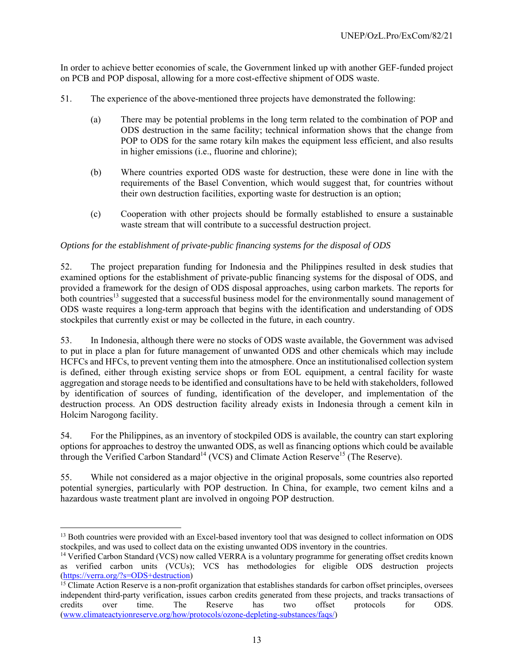In order to achieve better economies of scale, the Government linked up with another GEF-funded project on PCB and POP disposal, allowing for a more cost-effective shipment of ODS waste.

- 51. The experience of the above-mentioned three projects have demonstrated the following:
	- (a) There may be potential problems in the long term related to the combination of POP and ODS destruction in the same facility; technical information shows that the change from POP to ODS for the same rotary kiln makes the equipment less efficient, and also results in higher emissions (i.e., fluorine and chlorine);
	- (b) Where countries exported ODS waste for destruction, these were done in line with the requirements of the Basel Convention, which would suggest that, for countries without their own destruction facilities, exporting waste for destruction is an option;
	- (c) Cooperation with other projects should be formally established to ensure a sustainable waste stream that will contribute to a successful destruction project.

# *Options for the establishment of private-public financing systems for the disposal of ODS*

52. The project preparation funding for Indonesia and the Philippines resulted in desk studies that examined options for the establishment of private-public financing systems for the disposal of ODS, and provided a framework for the design of ODS disposal approaches, using carbon markets. The reports for both countries<sup>13</sup> suggested that a successful business model for the environmentally sound management of ODS waste requires a long-term approach that begins with the identification and understanding of ODS stockpiles that currently exist or may be collected in the future, in each country.

53. In Indonesia, although there were no stocks of ODS waste available, the Government was advised to put in place a plan for future management of unwanted ODS and other chemicals which may include HCFCs and HFCs, to prevent venting them into the atmosphere. Once an institutionalised collection system is defined, either through existing service shops or from EOL equipment, a central facility for waste aggregation and storage needs to be identified and consultations have to be held with stakeholders, followed by identification of sources of funding, identification of the developer, and implementation of the destruction process. An ODS destruction facility already exists in Indonesia through a cement kiln in Holcim Narogong facility.

54. For the Philippines, as an inventory of stockpiled ODS is available, the country can start exploring options for approaches to destroy the unwanted ODS, as well as financing options which could be available through the Verified Carbon Standard<sup>14</sup> (VCS) and Climate Action Reserve<sup>15</sup> (The Reserve).

55. While not considered as a major objective in the original proposals, some countries also reported potential synergies, particularly with POP destruction. In China, for example, two cement kilns and a hazardous waste treatment plant are involved in ongoing POP destruction.

 $\overline{a}$ 

<sup>&</sup>lt;sup>13</sup> Both countries were provided with an Excel-based inventory tool that was designed to collect information on ODS stockpiles, and was used to collect data on the existing unwanted ODS inventory in the countries. 14 Verified Carbon Standard (VCS) now called VERRA is a voluntary programme for generating offset credits known

as verified carbon units (VCUs); VCS has methodologies for eligible ODS destruction projects (https://verra.org/?s=ODS+destruction)

 $<sup>15</sup>$  Climate Action Reserve is a non-profit organization that establishes standards for carbon offset principles, oversees</sup> independent third-party verification, issues carbon credits generated from these projects, and tracks transactions of credits over time. The Reserve has two offset protocols for ODS. (www.climateactyionreserve.org/how/protocols/ozone-depleting-substances/faqs/)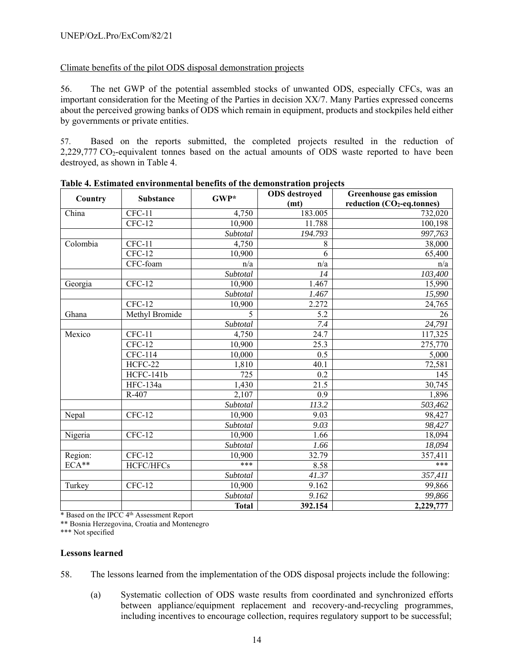# Climate benefits of the pilot ODS disposal demonstration projects

56. The net GWP of the potential assembled stocks of unwanted ODS, especially CFCs, was an important consideration for the Meeting of the Parties in decision XX/7. Many Parties expressed concerns about the perceived growing banks of ODS which remain in equipment, products and stockpiles held either by governments or private entities.

57. Based on the reports submitted, the completed projects resulted in the reduction of 2,229,777  $CO_2$ -equivalent tonnes based on the actual amounts of ODS waste reported to have been destroyed, as shown in Table 4.

| Country  | Substance       | GWP*                  | <b>ODS</b> destroyed | <b>Greenhouse gas emission</b> |
|----------|-----------------|-----------------------|----------------------|--------------------------------|
|          |                 |                       | (mt)                 | reduction $(CO2-eq.tonnes)$    |
| China    | $CFC-11$        | 4,750                 | 183.005              | 732,020                        |
|          | $CFC-12$        | 10,900                | 11.788               | 100,198                        |
|          |                 | Subtotal              | 194.793              | 997,763                        |
| Colombia | $CFC-11$        | 4,750                 | 8                    | 38,000                         |
|          | $CFC-12$        | 10,900                | 6                    | 65,400                         |
|          | CFC-foam        | n/a                   | n/a                  | n/a                            |
|          |                 | $\overline{Subtotal}$ | 14                   | 103,400                        |
| Georgia  | $CFC-12$        | 10,900                | 1.467                | 15,990                         |
|          |                 | Subtotal              | 1.467                | 15,990                         |
|          | $CFC-12$        | 10,900                | 2.272                | 24,765                         |
| Ghana    | Methyl Bromide  | 5                     | 5.2                  | 26                             |
|          |                 | Subtotal              | 7.4                  | 24,791                         |
| Mexico   | $CFC-11$        | 4,750                 | 24.7                 | 117,325                        |
|          | $CFC-12$        | 10,900                | 25.3                 | 275,770                        |
|          | CFC-114         | 10,000                | 0.5                  | 5,000                          |
|          | HCFC-22         | 1,810                 | 40.1                 | 72,581                         |
|          | HCFC-141b       | 725                   | 0.2                  | 145                            |
|          | <b>HFC-134a</b> | 1,430                 | 21.5                 | 30,745                         |
|          | R-407           | 2,107                 | 0.9                  | 1,896                          |
|          |                 | Subtotal              | 113.2                | 503,462                        |
| Nepal    | $CFC-12$        | 10,900                | 9.03                 | 98,427                         |
|          |                 | Subtotal              | 9.03                 | 98,427                         |
| Nigeria  | $CFC-12$        | 10,900                | 1.66                 | 18,094                         |
|          |                 | Subtotal              | 1.66                 | 18,094                         |
| Region:  | $CFC-12$        | 10,900                | 32.79                | 357,411                        |
| ECA**    | HCFC/HFCs       | $***$                 | 8.58                 | ***                            |
|          |                 | Subtotal              | 41.37                | 357,411                        |
| Turkey   | $CFC-12$        | 10,900                | 9.162                | 99,866                         |
|          |                 | Subtotal              | 9.162                | 99,866                         |
|          |                 | <b>Total</b>          | 392.154              | 2,229,777                      |

**Table 4. Estimated environmental benefits of the demonstration projects** 

\* Based on the IPCC 4th Assessment Report

\*\* Bosnia Herzegovina, Croatia and Montenegro

\*\*\* Not specified

# **Lessons learned**

- 58. The lessons learned from the implementation of the ODS disposal projects include the following:
	- (a) Systematic collection of ODS waste results from coordinated and synchronized efforts between appliance/equipment replacement and recovery-and-recycling programmes, including incentives to encourage collection, requires regulatory support to be successful;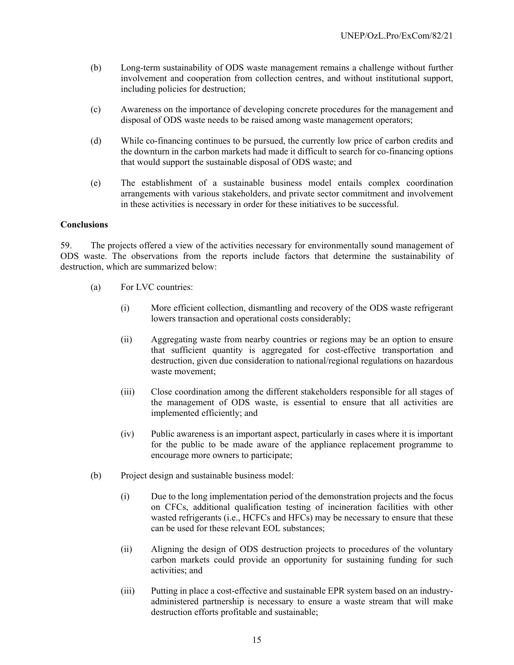- (b) Long-term sustainability of ODS waste management remains a challenge without further involvement and cooperation from collection centres, and without institutional support, including policies for destruction;
- (c) Awareness on the importance of developing concrete procedures for the management and disposal of ODS waste needs to be raised among waste management operators;
- (d) While co-financing continues to be pursued, the currently low price of carbon credits and the downturn in the carbon markets had made it difficult to search for co-financing options that would support the sustainable disposal of ODS waste; and
- (e) The establishment of a sustainable business model entails complex coordination arrangements with various stakeholders, and private sector commitment and involvement in these activities is necessary in order for these initiatives to be successful.

# **Conclusions**

59. The projects offered a view of the activities necessary for environmentally sound management of ODS waste. The observations from the reports include factors that determine the sustainability of destruction, which are summarized below:

- (a) For LVC countries:
	- (i) More efficient collection, dismantling and recovery of the ODS waste refrigerant lowers transaction and operational costs considerably;
	- (ii) Aggregating waste from nearby countries or regions may be an option to ensure that sufficient quantity is aggregated for cost-effective transportation and destruction, given due consideration to national/regional regulations on hazardous waste movement;
	- (iii) Close coordination among the different stakeholders responsible for all stages of the management of ODS waste, is essential to ensure that all activities are implemented efficiently; and
	- (iv) Public awareness is an important aspect, particularly in cases where it is important for the public to be made aware of the appliance replacement programme to encourage more owners to participate;
- (b) Project design and sustainable business model:
	- (i) Due to the long implementation period of the demonstration projects and the focus on CFCs, additional qualification testing of incineration facilities with other wasted refrigerants (i.e., HCFCs and HFCs) may be necessary to ensure that these can be used for these relevant EOL substances;
	- (ii) Aligning the design of ODS destruction projects to procedures of the voluntary carbon markets could provide an opportunity for sustaining funding for such activities; and
	- (iii) Putting in place a cost-effective and sustainable EPR system based on an industryadministered partnership is necessary to ensure a waste stream that will make destruction efforts profitable and sustainable;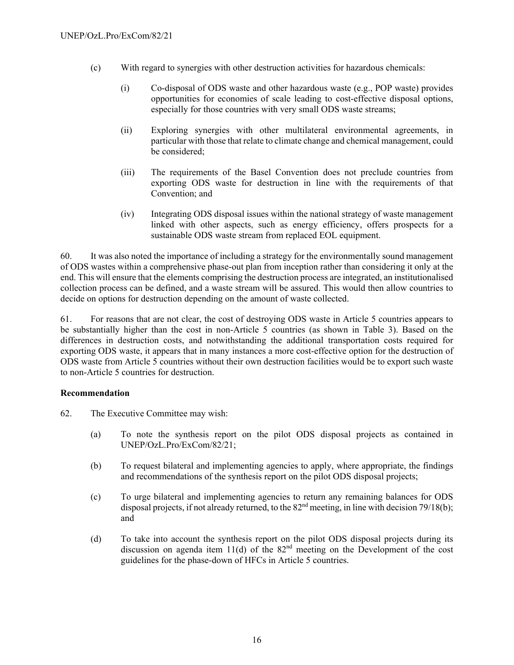- (c) With regard to synergies with other destruction activities for hazardous chemicals:
	- (i) Co-disposal of ODS waste and other hazardous waste (e.g., POP waste) provides opportunities for economies of scale leading to cost-effective disposal options, especially for those countries with very small ODS waste streams;
	- (ii) Exploring synergies with other multilateral environmental agreements, in particular with those that relate to climate change and chemical management, could be considered;
	- (iii) The requirements of the Basel Convention does not preclude countries from exporting ODS waste for destruction in line with the requirements of that Convention; and
	- (iv) Integrating ODS disposal issues within the national strategy of waste management linked with other aspects, such as energy efficiency, offers prospects for a sustainable ODS waste stream from replaced EOL equipment.

60. It was also noted the importance of including a strategy for the environmentally sound management of ODS wastes within a comprehensive phase-out plan from inception rather than considering it only at the end. This will ensure that the elements comprising the destruction process are integrated, an institutionalised collection process can be defined, and a waste stream will be assured. This would then allow countries to decide on options for destruction depending on the amount of waste collected.

61. For reasons that are not clear, the cost of destroying ODS waste in Article 5 countries appears to be substantially higher than the cost in non-Article 5 countries (as shown in Table 3). Based on the differences in destruction costs, and notwithstanding the additional transportation costs required for exporting ODS waste, it appears that in many instances a more cost-effective option for the destruction of ODS waste from Article 5 countries without their own destruction facilities would be to export such waste to non-Article 5 countries for destruction.

# **Recommendation**

- 62. The Executive Committee may wish:
	- (a) To note the synthesis report on the pilot ODS disposal projects as contained in UNEP/OzL.Pro/ExCom/82/21;
	- (b) To request bilateral and implementing agencies to apply, where appropriate, the findings and recommendations of the synthesis report on the pilot ODS disposal projects;
	- (c) To urge bilateral and implementing agencies to return any remaining balances for ODS disposal projects, if not already returned, to the  $82<sup>nd</sup>$  meeting, in line with decision 79/18(b); and
	- (d) To take into account the synthesis report on the pilot ODS disposal projects during its discussion on agenda item 11(d) of the  $82<sup>nd</sup>$  meeting on the Development of the cost guidelines for the phase-down of HFCs in Article 5 countries.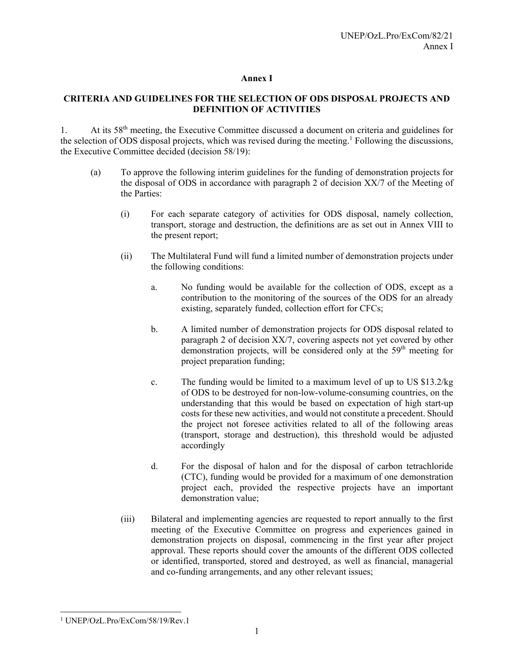# **Annex I**

# **CRITERIA AND GUIDELINES FOR THE SELECTION OF ODS DISPOSAL PROJECTS AND DEFINITION OF ACTIVITIES**

1. At its 58th meeting, the Executive Committee discussed a document on criteria and guidelines for the selection of ODS disposal projects, which was revised during the meeting.<sup>1</sup> Following the discussions, the Executive Committee decided (decision 58/19):

- (a) To approve the following interim guidelines for the funding of demonstration projects for the disposal of ODS in accordance with paragraph 2 of decision XX/7 of the Meeting of the Parties:
	- (i) For each separate category of activities for ODS disposal, namely collection, transport, storage and destruction, the definitions are as set out in Annex VIII to the present report;
	- (ii) The Multilateral Fund will fund a limited number of demonstration projects under the following conditions:
		- a. No funding would be available for the collection of ODS, except as a contribution to the monitoring of the sources of the ODS for an already existing, separately funded, collection effort for CFCs;
		- b. A limited number of demonstration projects for ODS disposal related to paragraph 2 of decision XX/7, covering aspects not yet covered by other demonstration projects, will be considered only at the  $59<sup>th</sup>$  meeting for project preparation funding;
		- c. The funding would be limited to a maximum level of up to US \$13.2/kg of ODS to be destroyed for non-low-volume-consuming countries, on the understanding that this would be based on expectation of high start-up costs for these new activities, and would not constitute a precedent. Should the project not foresee activities related to all of the following areas (transport, storage and destruction), this threshold would be adjusted accordingly
		- d. For the disposal of halon and for the disposal of carbon tetrachloride (CTC), funding would be provided for a maximum of one demonstration project each, provided the respective projects have an important demonstration value;
	- (iii) Bilateral and implementing agencies are requested to report annually to the first meeting of the Executive Committee on progress and experiences gained in demonstration projects on disposal, commencing in the first year after project approval. These reports should cover the amounts of the different ODS collected or identified, transported, stored and destroyed, as well as financial, managerial and co-funding arrangements, and any other relevant issues;

<sup>1</sup> 1 UNEP/OzL.Pro/ExCom/58/19/Rev.1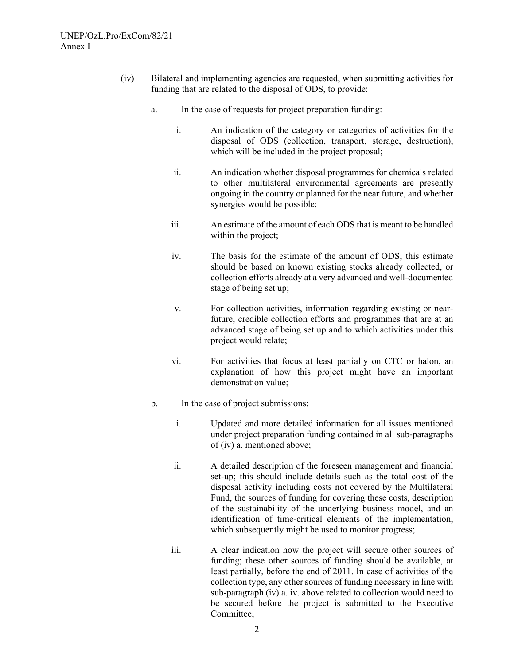- (iv) Bilateral and implementing agencies are requested, when submitting activities for funding that are related to the disposal of ODS, to provide:
	- a. In the case of requests for project preparation funding:
		- i. An indication of the category or categories of activities for the disposal of ODS (collection, transport, storage, destruction), which will be included in the project proposal;
		- ii. An indication whether disposal programmes for chemicals related to other multilateral environmental agreements are presently ongoing in the country or planned for the near future, and whether synergies would be possible;
		- iii. An estimate of the amount of each ODS that is meant to be handled within the project;
		- iv. The basis for the estimate of the amount of ODS; this estimate should be based on known existing stocks already collected, or collection efforts already at a very advanced and well-documented stage of being set up;
		- v. For collection activities, information regarding existing or nearfuture, credible collection efforts and programmes that are at an advanced stage of being set up and to which activities under this project would relate;
		- vi. For activities that focus at least partially on CTC or halon, an explanation of how this project might have an important demonstration value;
	- b. In the case of project submissions:
		- i. Updated and more detailed information for all issues mentioned under project preparation funding contained in all sub-paragraphs of (iv) a. mentioned above;
		- ii. A detailed description of the foreseen management and financial set-up; this should include details such as the total cost of the disposal activity including costs not covered by the Multilateral Fund, the sources of funding for covering these costs, description of the sustainability of the underlying business model, and an identification of time-critical elements of the implementation, which subsequently might be used to monitor progress;
		- iii. A clear indication how the project will secure other sources of funding; these other sources of funding should be available, at least partially, before the end of 2011. In case of activities of the collection type, any other sources of funding necessary in line with sub-paragraph (iv) a. iv. above related to collection would need to be secured before the project is submitted to the Executive Committee;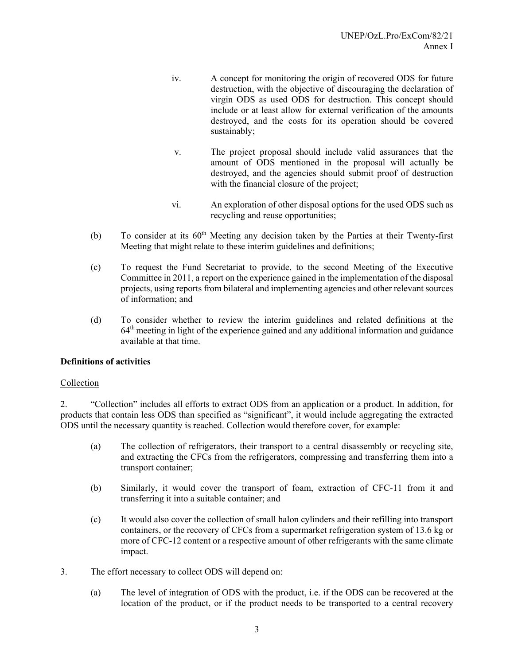- iv. A concept for monitoring the origin of recovered ODS for future destruction, with the objective of discouraging the declaration of virgin ODS as used ODS for destruction. This concept should include or at least allow for external verification of the amounts destroyed, and the costs for its operation should be covered sustainably;
- v. The project proposal should include valid assurances that the amount of ODS mentioned in the proposal will actually be destroyed, and the agencies should submit proof of destruction with the financial closure of the project;
- vi. An exploration of other disposal options for the used ODS such as recycling and reuse opportunities;
- (b) To consider at its  $60<sup>th</sup>$  Meeting any decision taken by the Parties at their Twenty-first Meeting that might relate to these interim guidelines and definitions;
- (c) To request the Fund Secretariat to provide, to the second Meeting of the Executive Committee in 2011, a report on the experience gained in the implementation of the disposal projects, using reports from bilateral and implementing agencies and other relevant sources of information; and
- (d) To consider whether to review the interim guidelines and related definitions at the  $64<sup>th</sup>$  meeting in light of the experience gained and any additional information and guidance available at that time.

# **Definitions of activities**

# Collection

2. "Collection" includes all efforts to extract ODS from an application or a product. In addition, for products that contain less ODS than specified as "significant", it would include aggregating the extracted ODS until the necessary quantity is reached. Collection would therefore cover, for example:

- (a) The collection of refrigerators, their transport to a central disassembly or recycling site, and extracting the CFCs from the refrigerators, compressing and transferring them into a transport container;
- (b) Similarly, it would cover the transport of foam, extraction of CFC-11 from it and transferring it into a suitable container; and
- (c) It would also cover the collection of small halon cylinders and their refilling into transport containers, or the recovery of CFCs from a supermarket refrigeration system of 13.6 kg or more of CFC-12 content or a respective amount of other refrigerants with the same climate impact.
- 3. The effort necessary to collect ODS will depend on:
	- (a) The level of integration of ODS with the product, i.e. if the ODS can be recovered at the location of the product, or if the product needs to be transported to a central recovery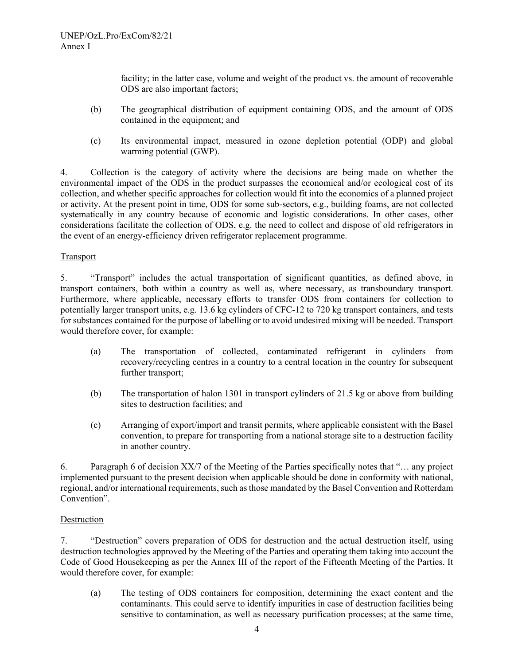facility; in the latter case, volume and weight of the product vs. the amount of recoverable ODS are also important factors;

- (b) The geographical distribution of equipment containing ODS, and the amount of ODS contained in the equipment; and
- (c) Its environmental impact, measured in ozone depletion potential (ODP) and global warming potential (GWP).

4. Collection is the category of activity where the decisions are being made on whether the environmental impact of the ODS in the product surpasses the economical and/or ecological cost of its collection, and whether specific approaches for collection would fit into the economics of a planned project or activity. At the present point in time, ODS for some sub-sectors, e.g., building foams, are not collected systematically in any country because of economic and logistic considerations. In other cases, other considerations facilitate the collection of ODS, e.g. the need to collect and dispose of old refrigerators in the event of an energy-efficiency driven refrigerator replacement programme.

# Transport

5. "Transport" includes the actual transportation of significant quantities, as defined above, in transport containers, both within a country as well as, where necessary, as transboundary transport. Furthermore, where applicable, necessary efforts to transfer ODS from containers for collection to potentially larger transport units, e.g. 13.6 kg cylinders of CFC-12 to 720 kg transport containers, and tests for substances contained for the purpose of labelling or to avoid undesired mixing will be needed. Transport would therefore cover, for example:

- (a) The transportation of collected, contaminated refrigerant in cylinders from recovery/recycling centres in a country to a central location in the country for subsequent further transport;
- (b) The transportation of halon 1301 in transport cylinders of 21.5 kg or above from building sites to destruction facilities; and
- (c) Arranging of export/import and transit permits, where applicable consistent with the Basel convention, to prepare for transporting from a national storage site to a destruction facility in another country.

6. Paragraph 6 of decision XX/7 of the Meeting of the Parties specifically notes that "… any project implemented pursuant to the present decision when applicable should be done in conformity with national, regional, and/or international requirements, such as those mandated by the Basel Convention and Rotterdam Convention".

# Destruction

7. "Destruction" covers preparation of ODS for destruction and the actual destruction itself, using destruction technologies approved by the Meeting of the Parties and operating them taking into account the Code of Good Housekeeping as per the Annex III of the report of the Fifteenth Meeting of the Parties. It would therefore cover, for example:

(a) The testing of ODS containers for composition, determining the exact content and the contaminants. This could serve to identify impurities in case of destruction facilities being sensitive to contamination, as well as necessary purification processes; at the same time,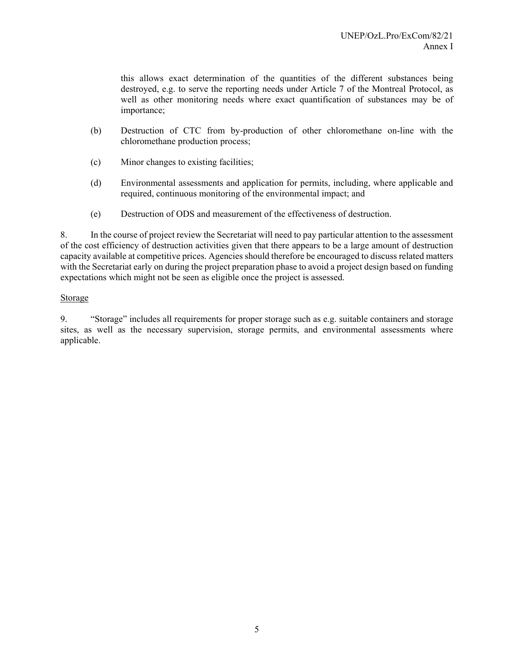this allows exact determination of the quantities of the different substances being destroyed, e.g. to serve the reporting needs under Article 7 of the Montreal Protocol, as well as other monitoring needs where exact quantification of substances may be of importance;

- (b) Destruction of CTC from by-production of other chloromethane on-line with the chloromethane production process;
- (c) Minor changes to existing facilities;
- (d) Environmental assessments and application for permits, including, where applicable and required, continuous monitoring of the environmental impact; and
- (e) Destruction of ODS and measurement of the effectiveness of destruction.

8. In the course of project review the Secretariat will need to pay particular attention to the assessment of the cost efficiency of destruction activities given that there appears to be a large amount of destruction capacity available at competitive prices. Agencies should therefore be encouraged to discuss related matters with the Secretariat early on during the project preparation phase to avoid a project design based on funding expectations which might not be seen as eligible once the project is assessed.

# Storage

9. "Storage" includes all requirements for proper storage such as e.g. suitable containers and storage sites, as well as the necessary supervision, storage permits, and environmental assessments where applicable.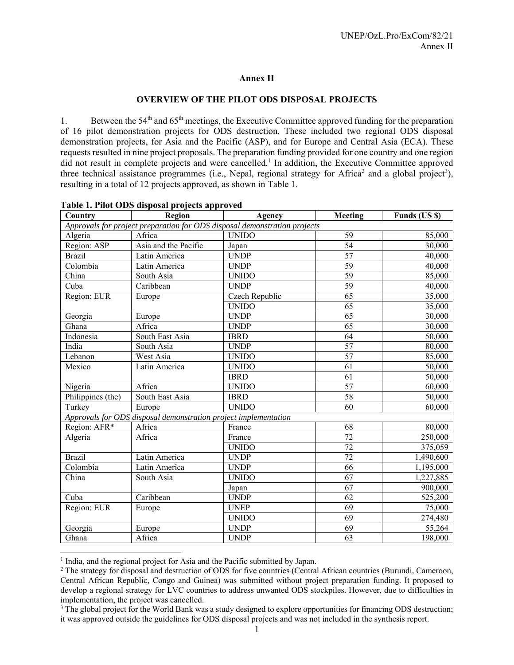# **Annex II**

# **OVERVIEW OF THE PILOT ODS DISPOSAL PROJECTS**

1. Between the 54<sup>th</sup> and 65<sup>th</sup> meetings, the Executive Committee approved funding for the preparation of 16 pilot demonstration projects for ODS destruction. These included two regional ODS disposal demonstration projects, for Asia and the Pacific (ASP), and for Europe and Central Asia (ECA). These requests resulted in nine project proposals. The preparation funding provided for one country and one region did not result in complete projects and were cancelled.<sup>1</sup> In addition, the Executive Committee approved three technical assistance programmes (i.e., Nepal, regional strategy for Africa<sup>2</sup> and a global project<sup>3</sup>), resulting in a total of 12 projects approved, as shown in Table 1.

| Country                                                                   | Region                                                          | Agency         | Meeting         | Funds (US \$) |  |  |
|---------------------------------------------------------------------------|-----------------------------------------------------------------|----------------|-----------------|---------------|--|--|
| Approvals for project preparation for ODS disposal demonstration projects |                                                                 |                |                 |               |  |  |
| Algeria                                                                   | Africa                                                          | <b>UNIDO</b>   | 59              | 85,000        |  |  |
| Region: ASP                                                               | Asia and the Pacific                                            | Japan          | $\overline{54}$ | 30,000        |  |  |
| <b>Brazil</b>                                                             | Latin America                                                   | <b>UNDP</b>    | $\overline{57}$ | 40,000        |  |  |
| Colombia                                                                  | Latin America                                                   | <b>UNDP</b>    | 59              | 40,000        |  |  |
| China                                                                     | South Asia                                                      | <b>UNIDO</b>   | 59              | 85,000        |  |  |
| Cuba                                                                      | Caribbean                                                       | <b>UNDP</b>    | $\overline{59}$ | 40,000        |  |  |
| Region: EUR                                                               | Europe                                                          | Czech Republic | 65              | 35,000        |  |  |
|                                                                           |                                                                 | <b>UNIDO</b>   | 65              | 35,000        |  |  |
| Georgia                                                                   | Europe                                                          | <b>UNDP</b>    | 65              | 30,000        |  |  |
| Ghana                                                                     | Africa                                                          | <b>UNDP</b>    | $\overline{65}$ | 30,000        |  |  |
| Indonesia                                                                 | South East Asia                                                 | <b>IBRD</b>    | $\overline{64}$ | 50,000        |  |  |
| India                                                                     | South Asia                                                      | <b>UNDP</b>    | 57              | 80,000        |  |  |
| Lebanon                                                                   | West Asia                                                       | <b>UNIDO</b>   | $\overline{57}$ | 85,000        |  |  |
| Mexico                                                                    | Latin America                                                   | <b>UNIDO</b>   | $\overline{61}$ | 50,000        |  |  |
|                                                                           |                                                                 | <b>IBRD</b>    | 61              | 50,000        |  |  |
| Nigeria                                                                   | Africa                                                          | <b>UNIDO</b>   | $\overline{57}$ | 60,000        |  |  |
| Philippines (the)                                                         | South East Asia                                                 | <b>IBRD</b>    | 58              | 50,000        |  |  |
| Turkey                                                                    | Europe                                                          | <b>UNIDO</b>   | $\overline{60}$ | 60,000        |  |  |
|                                                                           | Approvals for ODS disposal demonstration project implementation |                |                 |               |  |  |
| Region: AFR*                                                              | Africa                                                          | France         | 68              | 80,000        |  |  |
| Algeria                                                                   | Africa                                                          | France         | 72              | 250,000       |  |  |
|                                                                           |                                                                 | <b>UNIDO</b>   | $\overline{72}$ | 375,059       |  |  |
| <b>Brazil</b>                                                             | Latin America                                                   | <b>UNDP</b>    | $\overline{72}$ | 1,490,600     |  |  |
| Colombia                                                                  | Latin America                                                   | <b>UNDP</b>    | 66              | 1,195,000     |  |  |
| China                                                                     | South Asia                                                      | <b>UNIDO</b>   | 67              | 1,227,885     |  |  |
|                                                                           |                                                                 | Japan          | $\overline{67}$ | 900,000       |  |  |
| Cuba                                                                      | Caribbean                                                       | <b>UNDP</b>    | 62              | 525,200       |  |  |
| Region: EUR                                                               | Europe                                                          | <b>UNEP</b>    | $\overline{69}$ | 75,000        |  |  |
|                                                                           |                                                                 | <b>UNIDO</b>   | 69              | 274,480       |  |  |
| Georgia                                                                   | Europe                                                          | <b>UNDP</b>    | $\overline{69}$ | 55,264        |  |  |
| Ghana                                                                     | Africa                                                          | <b>UNDP</b>    | 63              | 198,000       |  |  |

#### **Table 1. Pilot ODS disposal projects approved**

<sup>1</sup> India, and the regional project for Asia and the Pacific submitted by Japan.<br><sup>2</sup> The strategy for disposal and destruction of ODS for five countries (Central)

l

<sup>&</sup>lt;sup>2</sup> The strategy for disposal and destruction of ODS for five countries (Central African countries (Burundi, Cameroon, Central African Republic, Congo and Guinea) was submitted without project preparation funding. It proposed to develop a regional strategy for LVC countries to address unwanted ODS stockpiles. However, due to difficulties in implementation, the project was cancelled.

<sup>&</sup>lt;sup>3</sup> The global project for the World Bank was a study designed to explore opportunities for financing ODS destruction; it was approved outside the guidelines for ODS disposal projects and was not included in the synthesis report.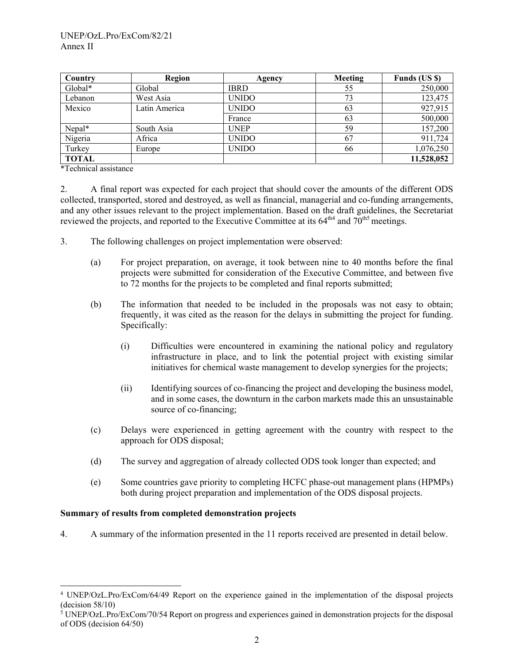| Country      | Region        | Agency       | Meeting | Funds (US \$) |
|--------------|---------------|--------------|---------|---------------|
| Global*      | Global        | <b>IBRD</b>  | 55      | 250,000       |
| Lebanon      | West Asia     | <b>UNIDO</b> | 73      | 123,475       |
| Mexico       | Latin America | <b>UNIDO</b> | 63      | 927,915       |
|              |               | France       | 63      | 500,000       |
| Nepal*       | South Asia    | <b>UNEP</b>  | 59      | 157,200       |
| Nigeria      | Africa        | <b>UNIDO</b> | 67      | 911,724       |
| Turkey       | Europe        | <b>UNIDO</b> | 66      | 1,076,250     |
| <b>TOTAL</b> |               |              |         | 11,528,052    |

\*Technical assistance

l

2. A final report was expected for each project that should cover the amounts of the different ODS collected, transported, stored and destroyed, as well as financial, managerial and co-funding arrangements, and any other issues relevant to the project implementation. Based on the draft guidelines, the Secretariat reviewed the projects, and reported to the Executive Committee at its  $64<sup>th4</sup>$  and  $70<sup>th5</sup>$  meetings.

- 3. The following challenges on project implementation were observed:
	- (a) For project preparation, on average, it took between nine to 40 months before the final projects were submitted for consideration of the Executive Committee, and between five to 72 months for the projects to be completed and final reports submitted;
	- (b) The information that needed to be included in the proposals was not easy to obtain; frequently, it was cited as the reason for the delays in submitting the project for funding. Specifically:
		- (i) Difficulties were encountered in examining the national policy and regulatory infrastructure in place, and to link the potential project with existing similar initiatives for chemical waste management to develop synergies for the projects;
		- (ii) Identifying sources of co-financing the project and developing the business model, and in some cases, the downturn in the carbon markets made this an unsustainable source of co-financing;
	- (c) Delays were experienced in getting agreement with the country with respect to the approach for ODS disposal;
	- (d) The survey and aggregation of already collected ODS took longer than expected; and
	- (e) Some countries gave priority to completing HCFC phase-out management plans (HPMPs) both during project preparation and implementation of the ODS disposal projects.

#### **Summary of results from completed demonstration projects**

4. A summary of the information presented in the 11 reports received are presented in detail below.

<sup>4</sup> UNEP/OzL.Pro/ExCom/64/49 Report on the experience gained in the implementation of the disposal projects (decision 58/10)

<sup>&</sup>lt;sup>5</sup> UNEP/OzL.Pro/ExCom/70/54 Report on progress and experiences gained in demonstration projects for the disposal of ODS (decision 64/50)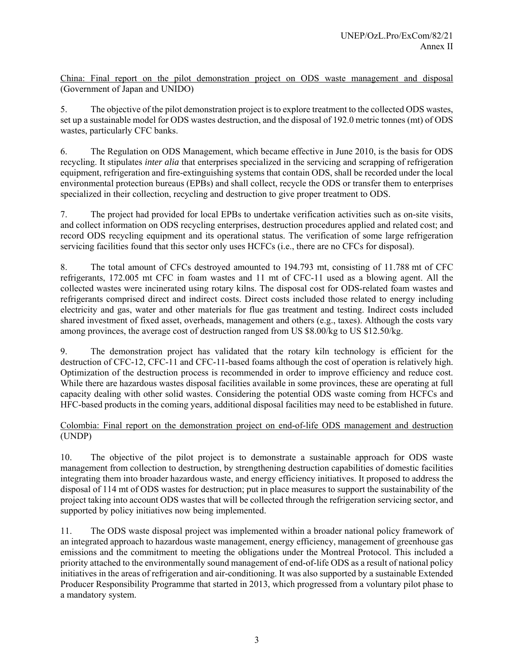China: Final report on the pilot demonstration project on ODS waste management and disposal (Government of Japan and UNIDO)

5. The objective of the pilot demonstration project is to explore treatment to the collected ODS wastes, set up a sustainable model for ODS wastes destruction, and the disposal of 192.0 metric tonnes (mt) of ODS wastes, particularly CFC banks.

6. The Regulation on ODS Management, which became effective in June 2010, is the basis for ODS recycling. It stipulates *inter alia* that enterprises specialized in the servicing and scrapping of refrigeration equipment, refrigeration and fire-extinguishing systems that contain ODS, shall be recorded under the local environmental protection bureaus (EPBs) and shall collect, recycle the ODS or transfer them to enterprises specialized in their collection, recycling and destruction to give proper treatment to ODS.

7. The project had provided for local EPBs to undertake verification activities such as on-site visits, and collect information on ODS recycling enterprises, destruction procedures applied and related cost; and record ODS recycling equipment and its operational status. The verification of some large refrigeration servicing facilities found that this sector only uses HCFCs (i.e., there are no CFCs for disposal).

8. The total amount of CFCs destroyed amounted to 194.793 mt, consisting of 11.788 mt of CFC refrigerants, 172.005 mt CFC in foam wastes and 11 mt of CFC-11 used as a blowing agent. All the collected wastes were incinerated using rotary kilns. The disposal cost for ODS-related foam wastes and refrigerants comprised direct and indirect costs. Direct costs included those related to energy including electricity and gas, water and other materials for flue gas treatment and testing. Indirect costs included shared investment of fixed asset, overheads, management and others (e.g., taxes). Although the costs vary among provinces, the average cost of destruction ranged from US \$8.00/kg to US \$12.50/kg.

9. The demonstration project has validated that the rotary kiln technology is efficient for the destruction of CFC-12, CFC-11 and CFC-11-based foams although the cost of operation is relatively high. Optimization of the destruction process is recommended in order to improve efficiency and reduce cost. While there are hazardous wastes disposal facilities available in some provinces, these are operating at full capacity dealing with other solid wastes. Considering the potential ODS waste coming from HCFCs and HFC-based products in the coming years, additional disposal facilities may need to be established in future.

# Colombia: Final report on the demonstration project on end-of-life ODS management and destruction (UNDP)

10. The objective of the pilot project is to demonstrate a sustainable approach for ODS waste management from collection to destruction, by strengthening destruction capabilities of domestic facilities integrating them into broader hazardous waste, and energy efficiency initiatives. It proposed to address the disposal of 114 mt of ODS wastes for destruction; put in place measures to support the sustainability of the project taking into account ODS wastes that will be collected through the refrigeration servicing sector, and supported by policy initiatives now being implemented.

11. The ODS waste disposal project was implemented within a broader national policy framework of an integrated approach to hazardous waste management, energy efficiency, management of greenhouse gas emissions and the commitment to meeting the obligations under the Montreal Protocol. This included a priority attached to the environmentally sound management of end-of-life ODS as a result of national policy initiatives in the areas of refrigeration and air-conditioning. It was also supported by a sustainable Extended Producer Responsibility Programme that started in 2013, which progressed from a voluntary pilot phase to a mandatory system.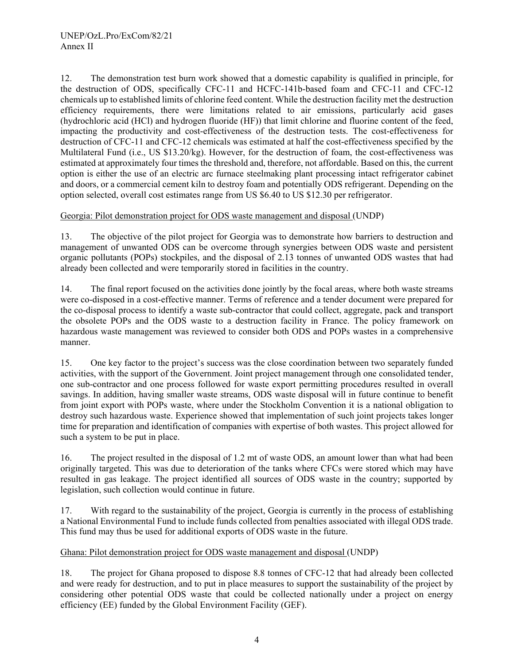12. The demonstration test burn work showed that a domestic capability is qualified in principle, for the destruction of ODS, specifically CFC-11 and HCFC-141b-based foam and CFC-11 and CFC-12 chemicals up to established limits of chlorine feed content. While the destruction facility met the destruction efficiency requirements, there were limitations related to air emissions, particularly acid gases (hydrochloric acid (HCl) and hydrogen fluoride (HF)) that limit chlorine and fluorine content of the feed, impacting the productivity and cost-effectiveness of the destruction tests. The cost-effectiveness for destruction of CFC-11 and CFC-12 chemicals was estimated at half the cost-effectiveness specified by the Multilateral Fund (i.e., US \$13.20/kg). However, for the destruction of foam, the cost-effectiveness was estimated at approximately four times the threshold and, therefore, not affordable. Based on this, the current option is either the use of an electric arc furnace steelmaking plant processing intact refrigerator cabinet and doors, or a commercial cement kiln to destroy foam and potentially ODS refrigerant. Depending on the option selected, overall cost estimates range from US \$6.40 to US \$12.30 per refrigerator.

# Georgia: Pilot demonstration project for ODS waste management and disposal (UNDP)

13. The objective of the pilot project for Georgia was to demonstrate how barriers to destruction and management of unwanted ODS can be overcome through synergies between ODS waste and persistent organic pollutants (POPs) stockpiles, and the disposal of 2.13 tonnes of unwanted ODS wastes that had already been collected and were temporarily stored in facilities in the country.

14. The final report focused on the activities done jointly by the focal areas, where both waste streams were co-disposed in a cost-effective manner. Terms of reference and a tender document were prepared for the co-disposal process to identify a waste sub-contractor that could collect, aggregate, pack and transport the obsolete POPs and the ODS waste to a destruction facility in France. The policy framework on hazardous waste management was reviewed to consider both ODS and POPs wastes in a comprehensive manner.

15. One key factor to the project's success was the close coordination between two separately funded activities, with the support of the Government. Joint project management through one consolidated tender, one sub-contractor and one process followed for waste export permitting procedures resulted in overall savings. In addition, having smaller waste streams, ODS waste disposal will in future continue to benefit from joint export with POPs waste, where under the Stockholm Convention it is a national obligation to destroy such hazardous waste. Experience showed that implementation of such joint projects takes longer time for preparation and identification of companies with expertise of both wastes. This project allowed for such a system to be put in place.

16. The project resulted in the disposal of 1.2 mt of waste ODS, an amount lower than what had been originally targeted. This was due to deterioration of the tanks where CFCs were stored which may have resulted in gas leakage. The project identified all sources of ODS waste in the country; supported by legislation, such collection would continue in future.

17. With regard to the sustainability of the project, Georgia is currently in the process of establishing a National Environmental Fund to include funds collected from penalties associated with illegal ODS trade. This fund may thus be used for additional exports of ODS waste in the future.

# Ghana: Pilot demonstration project for ODS waste management and disposal (UNDP)

18. The project for Ghana proposed to dispose 8.8 tonnes of CFC-12 that had already been collected and were ready for destruction, and to put in place measures to support the sustainability of the project by considering other potential ODS waste that could be collected nationally under a project on energy efficiency (EE) funded by the Global Environment Facility (GEF).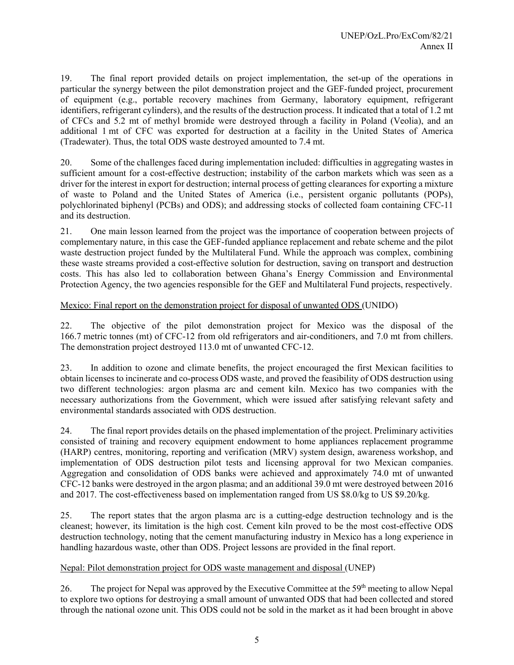19. The final report provided details on project implementation, the set-up of the operations in particular the synergy between the pilot demonstration project and the GEF-funded project, procurement of equipment (e.g., portable recovery machines from Germany, laboratory equipment, refrigerant identifiers, refrigerant cylinders), and the results of the destruction process. It indicated that a total of 1.2 mt of CFCs and 5.2 mt of methyl bromide were destroyed through a facility in Poland (Veolia), and an additional 1 mt of CFC was exported for destruction at a facility in the United States of America (Tradewater). Thus, the total ODS waste destroyed amounted to 7.4 mt.

20. Some of the challenges faced during implementation included: difficulties in aggregating wastes in sufficient amount for a cost-effective destruction; instability of the carbon markets which was seen as a driver for the interest in export for destruction; internal process of getting clearances for exporting a mixture of waste to Poland and the United States of America (i.e., persistent organic pollutants (POPs), polychlorinated biphenyl (PCBs) and ODS); and addressing stocks of collected foam containing CFC-11 and its destruction.

21. One main lesson learned from the project was the importance of cooperation between projects of complementary nature, in this case the GEF-funded appliance replacement and rebate scheme and the pilot waste destruction project funded by the Multilateral Fund. While the approach was complex, combining these waste streams provided a cost-effective solution for destruction, saving on transport and destruction costs. This has also led to collaboration between Ghana's Energy Commission and Environmental Protection Agency, the two agencies responsible for the GEF and Multilateral Fund projects, respectively.

# Mexico: Final report on the demonstration project for disposal of unwanted ODS (UNIDO)

22. The objective of the pilot demonstration project for Mexico was the disposal of the 166.7 metric tonnes (mt) of CFC-12 from old refrigerators and air-conditioners, and 7.0 mt from chillers. The demonstration project destroyed 113.0 mt of unwanted CFC-12.

23. In addition to ozone and climate benefits, the project encouraged the first Mexican facilities to obtain licenses to incinerate and co-process ODS waste, and proved the feasibility of ODS destruction using two different technologies: argon plasma arc and cement kiln. Mexico has two companies with the necessary authorizations from the Government, which were issued after satisfying relevant safety and environmental standards associated with ODS destruction.

24. The final report provides details on the phased implementation of the project. Preliminary activities consisted of training and recovery equipment endowment to home appliances replacement programme (HARP) centres, monitoring, reporting and verification (MRV) system design, awareness workshop, and implementation of ODS destruction pilot tests and licensing approval for two Mexican companies. Aggregation and consolidation of ODS banks were achieved and approximately 74.0 mt of unwanted CFC-12 banks were destroyed in the argon plasma; and an additional 39.0 mt were destroyed between 2016 and 2017. The cost-effectiveness based on implementation ranged from US \$8.0/kg to US \$9.20/kg.

25. The report states that the argon plasma arc is a cutting-edge destruction technology and is the cleanest; however, its limitation is the high cost. Cement kiln proved to be the most cost-effective ODS destruction technology, noting that the cement manufacturing industry in Mexico has a long experience in handling hazardous waste, other than ODS. Project lessons are provided in the final report.

# Nepal: Pilot demonstration project for ODS waste management and disposal (UNEP)

26. The project for Nepal was approved by the Executive Committee at the 59<sup>th</sup> meeting to allow Nepal to explore two options for destroying a small amount of unwanted ODS that had been collected and stored through the national ozone unit. This ODS could not be sold in the market as it had been brought in above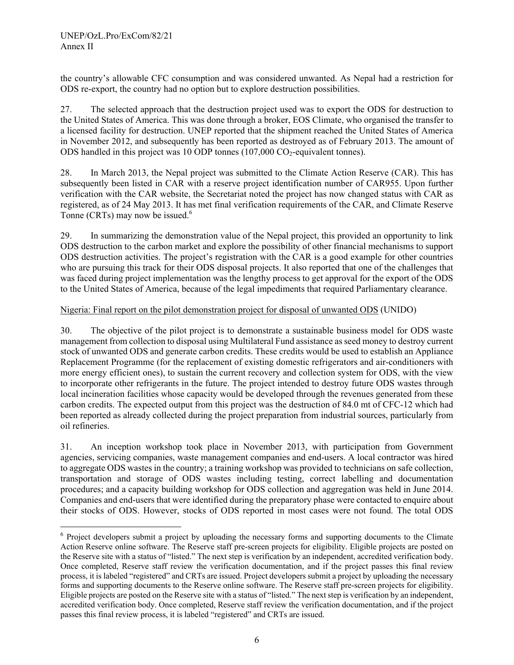l

the country's allowable CFC consumption and was considered unwanted. As Nepal had a restriction for ODS re-export, the country had no option but to explore destruction possibilities.

27. The selected approach that the destruction project used was to export the ODS for destruction to the United States of America. This was done through a broker, EOS Climate, who organised the transfer to a licensed facility for destruction. UNEP reported that the shipment reached the United States of America in November 2012, and subsequently has been reported as destroyed as of February 2013. The amount of ODS handled in this project was 10 ODP tonnes  $(107,000 \text{ CO}_2$ -equivalent tonnes).

28. In March 2013, the Nepal project was submitted to the Climate Action Reserve (CAR). This has subsequently been listed in CAR with a reserve project identification number of CAR955. Upon further verification with the CAR website, the Secretariat noted the project has now changed status with CAR as registered, as of 24 May 2013. It has met final verification requirements of the CAR, and Climate Reserve Tonne (CRTs) may now be issued.<sup>6</sup>

29. In summarizing the demonstration value of the Nepal project, this provided an opportunity to link ODS destruction to the carbon market and explore the possibility of other financial mechanisms to support ODS destruction activities. The project's registration with the CAR is a good example for other countries who are pursuing this track for their ODS disposal projects. It also reported that one of the challenges that was faced during project implementation was the lengthy process to get approval for the export of the ODS to the United States of America, because of the legal impediments that required Parliamentary clearance.

# Nigeria: Final report on the pilot demonstration project for disposal of unwanted ODS (UNIDO)

30. The objective of the pilot project is to demonstrate a sustainable business model for ODS waste management from collection to disposal using Multilateral Fund assistance as seed money to destroy current stock of unwanted ODS and generate carbon credits. These credits would be used to establish an Appliance Replacement Programme (for the replacement of existing domestic refrigerators and air-conditioners with more energy efficient ones), to sustain the current recovery and collection system for ODS, with the view to incorporate other refrigerants in the future. The project intended to destroy future ODS wastes through local incineration facilities whose capacity would be developed through the revenues generated from these carbon credits. The expected output from this project was the destruction of 84.0 mt of CFC-12 which had been reported as already collected during the project preparation from industrial sources, particularly from oil refineries.

31. An inception workshop took place in November 2013, with participation from Government agencies, servicing companies, waste management companies and end-users. A local contractor was hired to aggregate ODS wastes in the country; a training workshop was provided to technicians on safe collection, transportation and storage of ODS wastes including testing, correct labelling and documentation procedures; and a capacity building workshop for ODS collection and aggregation was held in June 2014. Companies and end-users that were identified during the preparatory phase were contacted to enquire about their stocks of ODS. However, stocks of ODS reported in most cases were not found. The total ODS

<sup>&</sup>lt;sup>6</sup> Project developers submit a project by uploading the necessary forms and supporting documents to the Climate Action Reserve online software. The Reserve staff pre-screen projects for eligibility. Eligible projects are posted on the Reserve site with a status of "listed." The next step is verification by an independent, accredited verification body. Once completed, Reserve staff review the verification documentation, and if the project passes this final review process, it is labeled "registered" and CRTs are issued. Project developers submit a project by uploading the necessary forms and supporting documents to the Reserve online software. The Reserve staff pre-screen projects for eligibility. Eligible projects are posted on the Reserve site with a status of "listed." The next step is verification by an independent, accredited verification body. Once completed, Reserve staff review the verification documentation, and if the project passes this final review process, it is labeled "registered" and CRTs are issued.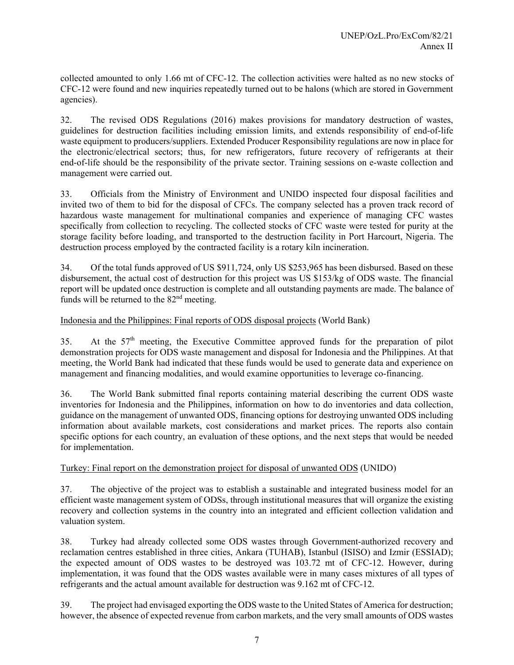collected amounted to only 1.66 mt of CFC-12. The collection activities were halted as no new stocks of CFC-12 were found and new inquiries repeatedly turned out to be halons (which are stored in Government agencies).

32. The revised ODS Regulations (2016) makes provisions for mandatory destruction of wastes, guidelines for destruction facilities including emission limits, and extends responsibility of end-of-life waste equipment to producers/suppliers. Extended Producer Responsibility regulations are now in place for the electronic/electrical sectors; thus, for new refrigerators, future recovery of refrigerants at their end-of-life should be the responsibility of the private sector. Training sessions on e-waste collection and management were carried out.

33. Officials from the Ministry of Environment and UNIDO inspected four disposal facilities and invited two of them to bid for the disposal of CFCs. The company selected has a proven track record of hazardous waste management for multinational companies and experience of managing CFC wastes specifically from collection to recycling. The collected stocks of CFC waste were tested for purity at the storage facility before loading, and transported to the destruction facility in Port Harcourt, Nigeria. The destruction process employed by the contracted facility is a rotary kiln incineration.

34. Of the total funds approved of US \$911,724, only US \$253,965 has been disbursed. Based on these disbursement, the actual cost of destruction for this project was US \$153/kg of ODS waste. The financial report will be updated once destruction is complete and all outstanding payments are made. The balance of funds will be returned to the  $82<sup>nd</sup>$  meeting.

# Indonesia and the Philippines: Final reports of ODS disposal projects (World Bank)

35. At the 57<sup>th</sup> meeting, the Executive Committee approved funds for the preparation of pilot demonstration projects for ODS waste management and disposal for Indonesia and the Philippines. At that meeting, the World Bank had indicated that these funds would be used to generate data and experience on management and financing modalities, and would examine opportunities to leverage co-financing.

36. The World Bank submitted final reports containing material describing the current ODS waste inventories for Indonesia and the Philippines, information on how to do inventories and data collection, guidance on the management of unwanted ODS, financing options for destroying unwanted ODS including information about available markets, cost considerations and market prices. The reports also contain specific options for each country, an evaluation of these options, and the next steps that would be needed for implementation.

# Turkey: Final report on the demonstration project for disposal of unwanted ODS (UNIDO)

37. The objective of the project was to establish a sustainable and integrated business model for an efficient waste management system of ODSs, through institutional measures that will organize the existing recovery and collection systems in the country into an integrated and efficient collection validation and valuation system.

38. Turkey had already collected some ODS wastes through Government-authorized recovery and reclamation centres established in three cities, Ankara (TUHAB), Istanbul (ISISO) and Izmir (ESSIAD); the expected amount of ODS wastes to be destroyed was 103.72 mt of CFC-12. However, during implementation, it was found that the ODS wastes available were in many cases mixtures of all types of refrigerants and the actual amount available for destruction was 9.162 mt of CFC-12.

39. The project had envisaged exporting the ODS waste to the United States of America for destruction; however, the absence of expected revenue from carbon markets, and the very small amounts of ODS wastes